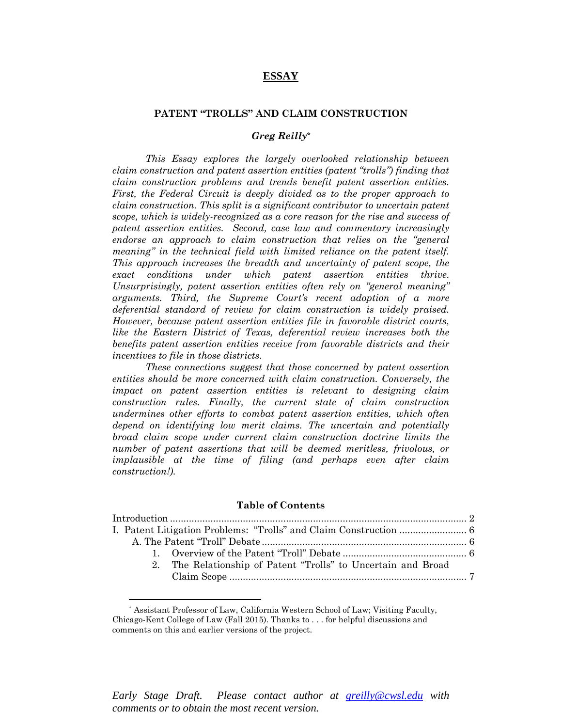# **ESSAY**

### **PATENT "TROLLS" AND CLAIM CONSTRUCTION**

# *Greg Reilly\**

*This Essay explores the largely overlooked relationship between claim construction and patent assertion entities (patent "trolls") finding that claim construction problems and trends benefit patent assertion entities. First, the Federal Circuit is deeply divided as to the proper approach to claim construction. This split is a significant contributor to uncertain patent scope, which is widely-recognized as a core reason for the rise and success of patent assertion entities. Second, case law and commentary increasingly endorse an approach to claim construction that relies on the "general meaning" in the technical field with limited reliance on the patent itself. This approach increases the breadth and uncertainty of patent scope, the exact conditions under which patent assertion entities thrive. Unsurprisingly, patent assertion entities often rely on "general meaning" arguments. Third, the Supreme Court's recent adoption of a more deferential standard of review for claim construction is widely praised. However, because patent assertion entities file in favorable district courts, like the Eastern District of Texas, deferential review increases both the benefits patent assertion entities receive from favorable districts and their incentives to file in those districts.* 

*These connections suggest that those concerned by patent assertion entities should be more concerned with claim construction. Conversely, the impact on patent assertion entities is relevant to designing claim construction rules. Finally, the current state of claim construction undermines other efforts to combat patent assertion entities, which often depend on identifying low merit claims. The uncertain and potentially broad claim scope under current claim construction doctrine limits the number of patent assertions that will be deemed meritless, frivolous, or implausible at the time of filing (and perhaps even after claim construction!).* 

#### **Table of Contents**

| 2. The Relationship of Patent "Trolls" to Uncertain and Broad |  |
|---------------------------------------------------------------|--|
|                                                               |  |
|                                                               |  |

 $\overline{a}$ 

<sup>\*</sup> Assistant Professor of Law, California Western School of Law; Visiting Faculty, Chicago-Kent College of Law (Fall 2015). Thanks to . . . for helpful discussions and comments on this and earlier versions of the project.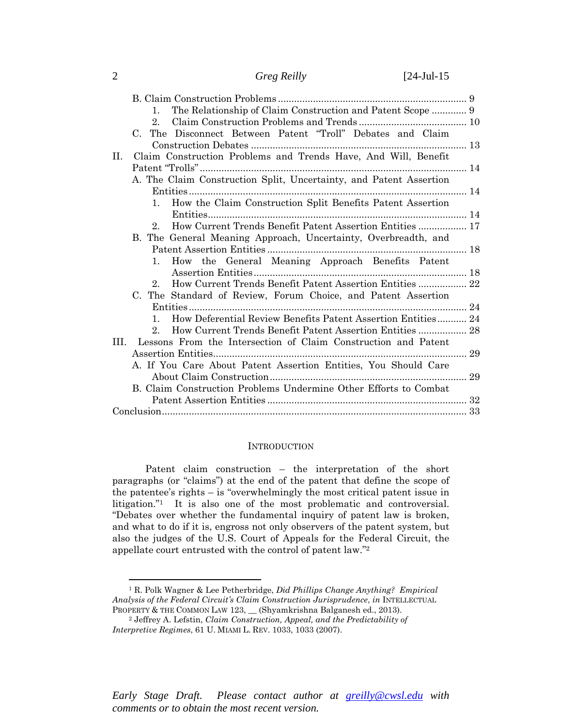| Greg Reilly |
|-------------|
|             |

| The Relationship of Claim Construction and Patent Scope  9<br>$1_{-}$ |  |
|-----------------------------------------------------------------------|--|
| $2_{-}$                                                               |  |
| C. The Disconnect Between Patent "Troll" Debates and Claim            |  |
|                                                                       |  |
| Claim Construction Problems and Trends Have, And Will, Benefit<br>II. |  |
|                                                                       |  |
| A. The Claim Construction Split, Uncertainty, and Patent Assertion    |  |
|                                                                       |  |
| How the Claim Construction Split Benefits Patent Assertion<br>1.      |  |
|                                                                       |  |
| 2. How Current Trends Benefit Patent Assertion Entities  17           |  |
| B. The General Meaning Approach, Uncertainty, Overbreadth, and        |  |
|                                                                       |  |
| How the General Meaning Approach Benefits Patent<br>1.                |  |
|                                                                       |  |
| How Current Trends Benefit Patent Assertion Entities  22<br>$2_{-}$   |  |
| C. The Standard of Review, Forum Choice, and Patent Assertion         |  |
|                                                                       |  |
| 1. How Deferential Review Benefits Patent Assertion Entities 24       |  |
| How Current Trends Benefit Patent Assertion Entities  28<br>$2_{-}$   |  |
| Lessons From the Intersection of Claim Construction and Patent<br>HI. |  |
|                                                                       |  |
| A. If You Care About Patent Assertion Entities, You Should Care       |  |
|                                                                       |  |
| B. Claim Construction Problems Undermine Other Efforts to Combat      |  |
|                                                                       |  |
|                                                                       |  |

### **INTRODUCTION**

Patent claim construction – the interpretation of the short paragraphs (or "claims") at the end of the patent that define the scope of the patentee's rights – is "overwhelmingly the most critical patent issue in litigation."1 It is also one of the most problematic and controversial. "Debates over whether the fundamental inquiry of patent law is broken, and what to do if it is, engross not only observers of the patent system, but also the judges of the U.S. Court of Appeals for the Federal Circuit, the appellate court entrusted with the control of patent law."2

1 R. Polk Wagner & Lee Petherbridge, *Did Phillips Change Anything? Empirical Analysis of the Federal Circuit's Claim Construction Jurisprudence*, *in* INTELLECTUAL PROPERTY & THE COMMON LAW 123, \_\_ (Shyamkrishna Balganesh ed., 2013). 2 Jeffrey A. Lefstin, *Claim Construction, Appeal, and the Predictability of* 

*Early Stage Draft. Please contact author at greilly@cwsl.edu with comments or to obtain the most recent version.* 

| ۰. |  |
|----|--|
|    |  |
|    |  |
|    |  |

*Interpretive Regimes*, 61 U. MIAMI L. REV. 1033, 1033 (2007).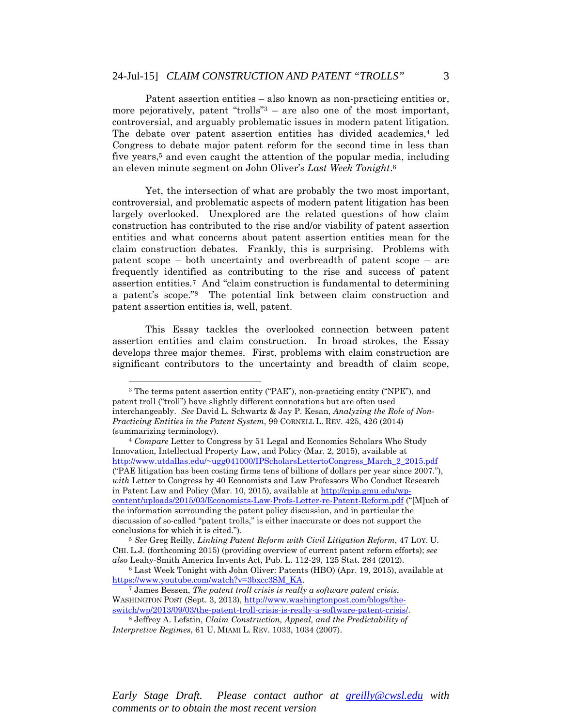Patent assertion entities – also known as non-practicing entities or, more pejoratively, patent "trolls" $3 -$  are also one of the most important, controversial, and arguably problematic issues in modern patent litigation. The debate over patent assertion entities has divided academics,<sup>4</sup> led Congress to debate major patent reform for the second time in less than five years,<sup>5</sup> and even caught the attention of the popular media, including an eleven minute segment on John Oliver's *Last Week Tonight*.6

Yet, the intersection of what are probably the two most important, controversial, and problematic aspects of modern patent litigation has been largely overlooked. Unexplored are the related questions of how claim construction has contributed to the rise and/or viability of patent assertion entities and what concerns about patent assertion entities mean for the claim construction debates. Frankly, this is surprising. Problems with patent scope – both uncertainty and overbreadth of patent scope – are frequently identified as contributing to the rise and success of patent assertion entities.7 And "claim construction is fundamental to determining a patent's scope."8 The potential link between claim construction and patent assertion entities is, well, patent.

This Essay tackles the overlooked connection between patent assertion entities and claim construction. In broad strokes, the Essay develops three major themes. First, problems with claim construction are significant contributors to the uncertainty and breadth of claim scope,

 $\overline{a}$ 

<sup>3</sup> The terms patent assertion entity ("PAE"), non-practicing entity ("NPE"), and patent troll ("troll") have slightly different connotations but are often used interchangeably. *See* David L. Schwartz & Jay P. Kesan, *Analyzing the Role of Non-Practicing Entities in the Patent System*, 99 CORNELL L. REV. 425, 426 (2014) (summarizing terminology). 4 *Compare* Letter to Congress by 51 Legal and Economics Scholars Who Study

Innovation, Intellectual Property Law, and Policy (Mar. 2, 2015), available at http://www.utdallas.edu/~ugg041000/IPScholarsLettertoCongress\_March\_2\_2015.pdf ("PAE litigation has been costing firms tens of billions of dollars per year since 2007."), *with* Letter to Congress by 40 Economists and Law Professors Who Conduct Research in Patent Law and Policy (Mar. 10, 2015), available at http://cpip.gmu.edu/wpcontent/uploads/2015/03/Economists-Law-Profs-Letter-re-Patent-Reform.pdf ("[M]uch of the information surrounding the patent policy discussion, and in particular the discussion of so-called "patent trolls," is either inaccurate or does not support the conclusions for which it is cited."). 5 *See* Greg Reilly, *Linking Patent Reform with Civil Litigation Reform*, 47 LOY. U.

CHI. L.J. (forthcoming 2015) (providing overview of current patent reform efforts); *see also* Leahy-Smith America Invents Act, Pub. L. 112-29, 125 Stat. 284 (2012).

<sup>6</sup> Last Week Tonight with John Oliver: Patents (HBO) (Apr. 19, 2015), available at https://www.youtube.com/watch?v=3bxcc3SM\_KA. 7 James Bessen, *The patent troll crisis is really a software patent crisis*,

WASHINGTON POST (Sept. 3, 2013), http://www.washingtonpost.com/blogs/theswitch/wp/2013/09/03/the-patent-troll-crisis-is-really-a-software-patent-crisis/. 8 Jeffrey A. Lefstin, *Claim Construction, Appeal, and the Predictability of* 

*Interpretive Regimes*, 61 U. MIAMI L. REV. 1033, 1034 (2007).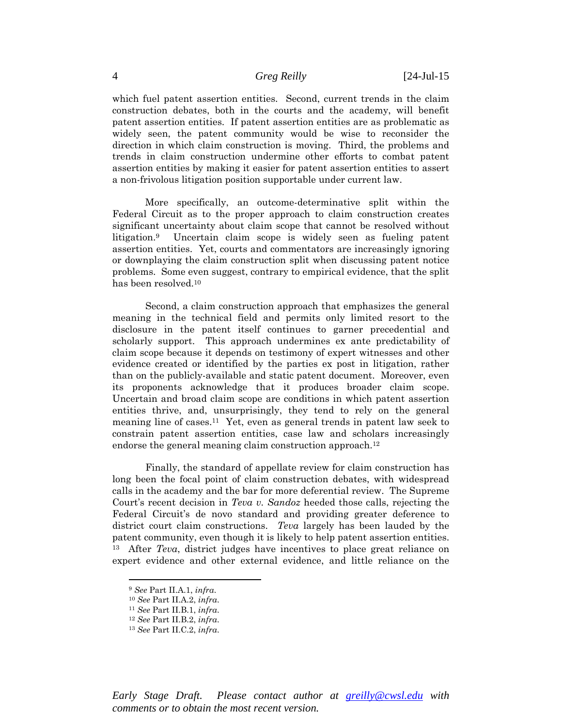which fuel patent assertion entities. Second, current trends in the claim construction debates, both in the courts and the academy, will benefit patent assertion entities. If patent assertion entities are as problematic as widely seen, the patent community would be wise to reconsider the direction in which claim construction is moving. Third, the problems and trends in claim construction undermine other efforts to combat patent assertion entities by making it easier for patent assertion entities to assert a non-frivolous litigation position supportable under current law.

More specifically, an outcome-determinative split within the Federal Circuit as to the proper approach to claim construction creates significant uncertainty about claim scope that cannot be resolved without litigation.9 Uncertain claim scope is widely seen as fueling patent assertion entities. Yet, courts and commentators are increasingly ignoring or downplaying the claim construction split when discussing patent notice problems. Some even suggest, contrary to empirical evidence, that the split has been resolved.10

 Second, a claim construction approach that emphasizes the general meaning in the technical field and permits only limited resort to the disclosure in the patent itself continues to garner precedential and scholarly support. This approach undermines ex ante predictability of claim scope because it depends on testimony of expert witnesses and other evidence created or identified by the parties ex post in litigation, rather than on the publicly-available and static patent document. Moreover, even its proponents acknowledge that it produces broader claim scope. Uncertain and broad claim scope are conditions in which patent assertion entities thrive, and, unsurprisingly, they tend to rely on the general meaning line of cases.11 Yet, even as general trends in patent law seek to constrain patent assertion entities, case law and scholars increasingly endorse the general meaning claim construction approach.<sup>12</sup>

Finally, the standard of appellate review for claim construction has long been the focal point of claim construction debates, with widespread calls in the academy and the bar for more deferential review. The Supreme Court's recent decision in *Teva v. Sandoz* heeded those calls, rejecting the Federal Circuit's de novo standard and providing greater deference to district court claim constructions. *Teva* largely has been lauded by the patent community, even though it is likely to help patent assertion entities. 13 After *Teva*, district judges have incentives to place great reliance on expert evidence and other external evidence, and little reliance on the

 $\overline{a}$ 

<sup>9</sup> *See* Part II.A.1, *infra*. 10 *See* Part II.A.2, *infra*. 11 *See* Part II.B.1, *infra*. 12 *See* Part II.B.2, *infra*. 13 *See* Part II.C.2, *infra*.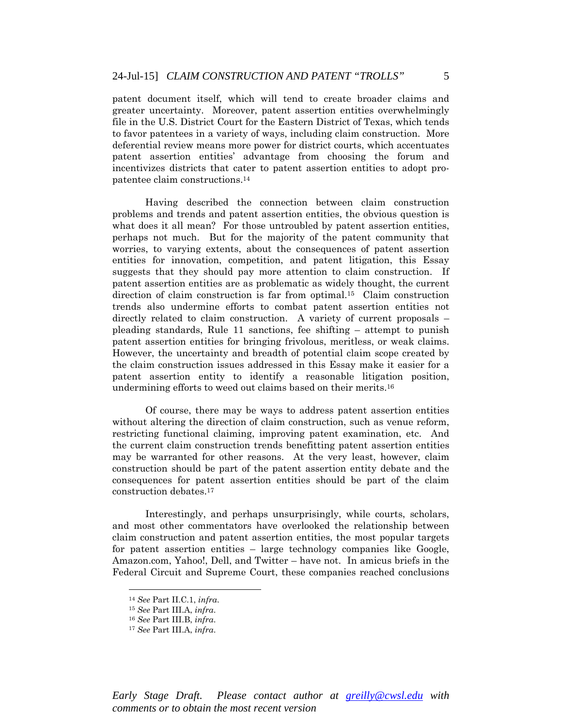patent document itself, which will tend to create broader claims and greater uncertainty. Moreover, patent assertion entities overwhelmingly file in the U.S. District Court for the Eastern District of Texas, which tends to favor patentees in a variety of ways, including claim construction. More deferential review means more power for district courts, which accentuates patent assertion entities' advantage from choosing the forum and incentivizes districts that cater to patent assertion entities to adopt propatentee claim constructions.14

Having described the connection between claim construction problems and trends and patent assertion entities, the obvious question is what does it all mean? For those untroubled by patent assertion entities, perhaps not much. But for the majority of the patent community that worries, to varying extents, about the consequences of patent assertion entities for innovation, competition, and patent litigation, this Essay suggests that they should pay more attention to claim construction. If patent assertion entities are as problematic as widely thought, the current direction of claim construction is far from optimal.15 Claim construction trends also undermine efforts to combat patent assertion entities not directly related to claim construction. A variety of current proposals – pleading standards, Rule 11 sanctions, fee shifting – attempt to punish patent assertion entities for bringing frivolous, meritless, or weak claims. However, the uncertainty and breadth of potential claim scope created by the claim construction issues addressed in this Essay make it easier for a patent assertion entity to identify a reasonable litigation position, undermining efforts to weed out claims based on their merits.16

Of course, there may be ways to address patent assertion entities without altering the direction of claim construction, such as venue reform, restricting functional claiming, improving patent examination, etc. And the current claim construction trends benefitting patent assertion entities may be warranted for other reasons. At the very least, however, claim construction should be part of the patent assertion entity debate and the consequences for patent assertion entities should be part of the claim construction debates.17

Interestingly, and perhaps unsurprisingly, while courts, scholars, and most other commentators have overlooked the relationship between claim construction and patent assertion entities, the most popular targets for patent assertion entities – large technology companies like Google, Amazon.com, Yahoo!, Dell, and Twitter – have not. In amicus briefs in the Federal Circuit and Supreme Court, these companies reached conclusions

<sup>14</sup> *See* Part II.C.1, *infra*. 15 *See* Part III.A, *infra*. 16 *See* Part III.B, *infra*. 17 *See* Part III.A, *infra*.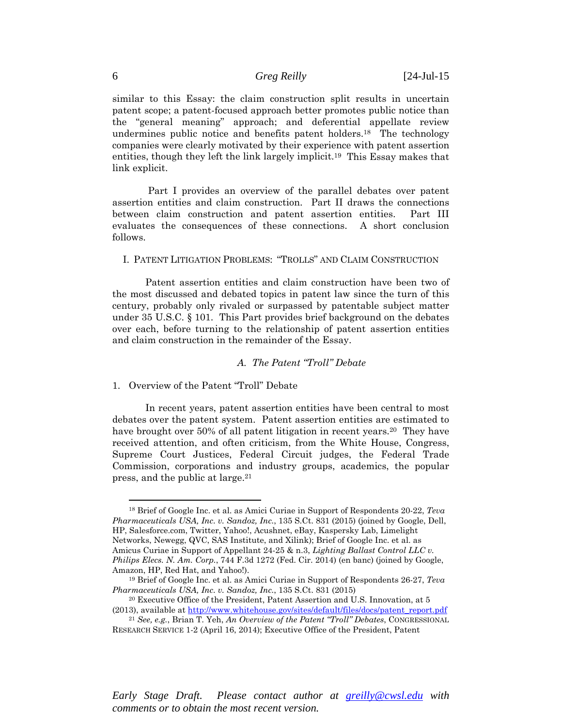similar to this Essay: the claim construction split results in uncertain patent scope; a patent-focused approach better promotes public notice than the "general meaning" approach; and deferential appellate review undermines public notice and benefits patent holders.18 The technology companies were clearly motivated by their experience with patent assertion entities, though they left the link largely implicit.19 This Essay makes that link explicit.

 Part I provides an overview of the parallel debates over patent assertion entities and claim construction. Part II draws the connections between claim construction and patent assertion entities. Part III evaluates the consequences of these connections. A short conclusion follows.

### I. PATENT LITIGATION PROBLEMS: "TROLLS" AND CLAIM CONSTRUCTION

Patent assertion entities and claim construction have been two of the most discussed and debated topics in patent law since the turn of this century, probably only rivaled or surpassed by patentable subject matter under 35 U.S.C. § 101. This Part provides brief background on the debates over each, before turning to the relationship of patent assertion entities and claim construction in the remainder of the Essay.

# *A. The Patent "Troll" Debate*

### 1. Overview of the Patent "Troll" Debate

In recent years, patent assertion entities have been central to most debates over the patent system. Patent assertion entities are estimated to have brought over 50% of all patent litigation in recent years.<sup>20</sup> They have received attention, and often criticism, from the White House, Congress, Supreme Court Justices, Federal Circuit judges, the Federal Trade Commission, corporations and industry groups, academics, the popular press, and the public at large.21

 $\overline{a}$ 

<sup>18</sup> Brief of Google Inc. et al. as Amici Curiae in Support of Respondents 20-22, *Teva Pharmaceuticals USA, Inc. v. Sandoz, Inc.*, 135 S.Ct. 831 (2015) (joined by Google, Dell, HP, Salesforce.com, Twitter, Yahoo!, Acushnet, eBay, Kaspersky Lab, Limelight Networks, Newegg, QVC, SAS Institute, and Xilink); Brief of Google Inc. et al. as Amicus Curiae in Support of Appellant 24-25 & n.3, *Lighting Ballast Control LLC v. Philips Elecs. N. Am. Corp.*, 744 F.3d 1272 (Fed. Cir. 2014) (en banc) (joined by Google,

<sup>&</sup>lt;sup>19</sup> Brief of Google Inc. et al. as Amici Curiae in Support of Respondents 26-27, *Teva Pharmaceuticals USA, Inc. v. Sandoz, Inc.*, 135 S.Ct. 831 (2015)<br><sup>20</sup> Executive Office of the President, Patent Assertion and U.S. Innovation, at 5

<sup>(2013),</sup> available at http://www.whitehouse.gov/sites/default/files/docs/patent\_report.pdf

<sup>21</sup> *See, e.g.*, Brian T. Yeh, *An Overview of the Patent "Troll" Debates*, CONGRESSIONAL RESEARCH SERVICE 1-2 (April 16, 2014); Executive Office of the President, Patent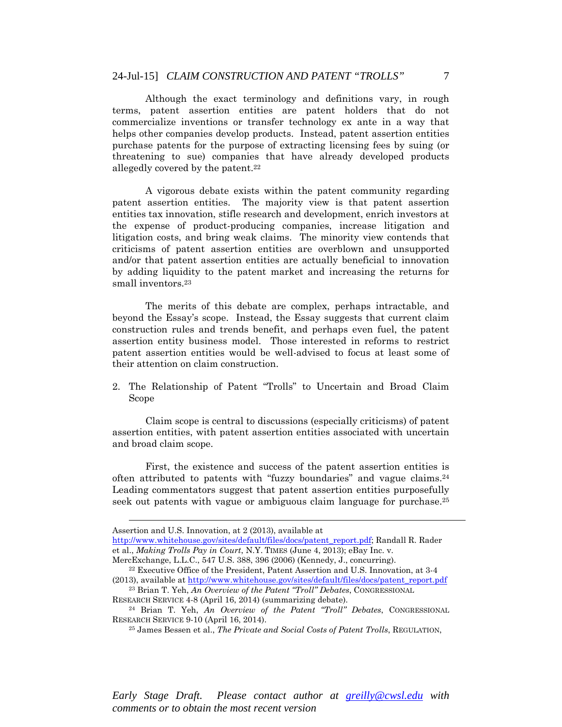Although the exact terminology and definitions vary, in rough terms, patent assertion entities are patent holders that do not commercialize inventions or transfer technology ex ante in a way that helps other companies develop products. Instead, patent assertion entities purchase patents for the purpose of extracting licensing fees by suing (or threatening to sue) companies that have already developed products allegedly covered by the patent.22

A vigorous debate exists within the patent community regarding patent assertion entities. The majority view is that patent assertion entities tax innovation, stifle research and development, enrich investors at the expense of product-producing companies, increase litigation and litigation costs, and bring weak claims. The minority view contends that criticisms of patent assertion entities are overblown and unsupported and/or that patent assertion entities are actually beneficial to innovation by adding liquidity to the patent market and increasing the returns for small inventors.23

The merits of this debate are complex, perhaps intractable, and beyond the Essay's scope. Instead, the Essay suggests that current claim construction rules and trends benefit, and perhaps even fuel, the patent assertion entity business model. Those interested in reforms to restrict patent assertion entities would be well-advised to focus at least some of their attention on claim construction.

2. The Relationship of Patent "Trolls" to Uncertain and Broad Claim Scope

Claim scope is central to discussions (especially criticisms) of patent assertion entities, with patent assertion entities associated with uncertain and broad claim scope.

First, the existence and success of the patent assertion entities is often attributed to patents with "fuzzy boundaries" and vague claims.24 Leading commentators suggest that patent assertion entities purposefully seek out patents with vague or ambiguous claim language for purchase.25

 $\overline{a}$ 

Assertion and U.S. Innovation, at 2 (2013), available at

http://www.whitehouse.gov/sites/default/files/docs/patent\_report.pdf; Randall R. Rader et al., *Making Trolls Pay in Court*, N.Y. TIMES (June 4, 2013); eBay Inc. v.

MercExchange, L.L.C., 547 U.S. 388, 396 (2006) (Kennedy, J., concurring).<br><sup>22</sup> Executive Office of the President, Patent Assertion and U.S. Innovation, at 3-4 (2013), available at http://www.whitehouse.gov/sites/default/files/docs/patent\_report.pdf

<sup>23</sup> Brian T. Yeh, *An Overview of the Patent "Troll" Debates*, CONGRESSIONAL

RESEARCH SERVICE 4-8 (April 16, 2014) (summarizing debate). 24 Brian T. Yeh, *An Overview of the Patent "Troll" Debates*, CONGRESSIONAL RESEARCH SERVICE 9-10 (April 16, 2014). 25 James Bessen et al., *The Private and Social Costs of Patent Trolls*, REGULATION,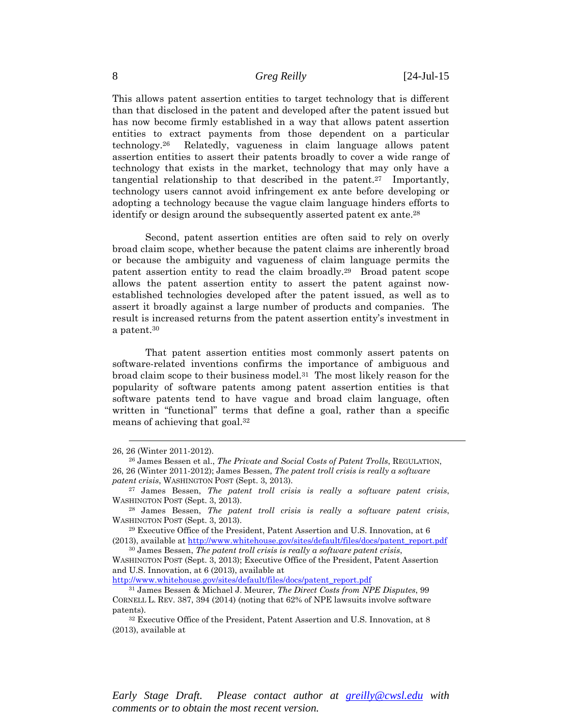This allows patent assertion entities to target technology that is different than that disclosed in the patent and developed after the patent issued but has now become firmly established in a way that allows patent assertion entities to extract payments from those dependent on a particular technology.26 Relatedly, vagueness in claim language allows patent assertion entities to assert their patents broadly to cover a wide range of technology that exists in the market, technology that may only have a tangential relationship to that described in the patent.<sup>27</sup> Importantly, technology users cannot avoid infringement ex ante before developing or adopting a technology because the vague claim language hinders efforts to identify or design around the subsequently asserted patent ex ante.<sup>28</sup>

Second, patent assertion entities are often said to rely on overly broad claim scope, whether because the patent claims are inherently broad or because the ambiguity and vagueness of claim language permits the patent assertion entity to read the claim broadly.29 Broad patent scope allows the patent assertion entity to assert the patent against nowestablished technologies developed after the patent issued, as well as to assert it broadly against a large number of products and companies. The result is increased returns from the patent assertion entity's investment in a patent.30

That patent assertion entities most commonly assert patents on software-related inventions confirms the importance of ambiguous and broad claim scope to their business model.<sup>31</sup> The most likely reason for the popularity of software patents among patent assertion entities is that software patents tend to have vague and broad claim language, often written in "functional" terms that define a goal, rather than a specific means of achieving that goal.32

 $\overline{a}$ 

http://www.whitehouse.gov/sites/default/files/docs/patent\_report.pdf

<sup>26, 26 (</sup>Winter 2011-2012). 26 James Bessen et al., *The Private and Social Costs of Patent Trolls*, REGULATION, 26, 26 (Winter 2011-2012); James Bessen, *The patent troll crisis is really a software patent crisis*, WASHINGTON POST (Sept. 3, 2013).<br><sup>27</sup> James Bessen, *The patent troll crisis is really a software patent crisis*,

WASHINGTON POST (Sept. 3, 2013).<br><sup>28</sup> James Bessen, *The patent troll crisis is really a software patent crisis*,

WASHINGTON POST (Sept. 3, 2013).<br><sup>29</sup> Executive Office of the President, Patent Assertion and U.S. Innovation, at 6

<sup>(2013),</sup> available at http://www.whitehouse.gov/sites/default/files/docs/patent\_report.pdf

<sup>30</sup> James Bessen, *The patent troll crisis is really a software patent crisis*,

WASHINGTON POST (Sept. 3, 2013); Executive Office of the President, Patent Assertion and U.S. Innovation, at 6 (2013), available at

<sup>31</sup> James Bessen & Michael J. Meurer, *The Direct Costs from NPE Disputes*, 99 CORNELL L. REV. 387, 394 (2014) (noting that 62% of NPE lawsuits involve software patents). <sup>32</sup> Executive Office of the President, Patent Assertion and U.S. Innovation, at 8

<sup>(2013),</sup> available at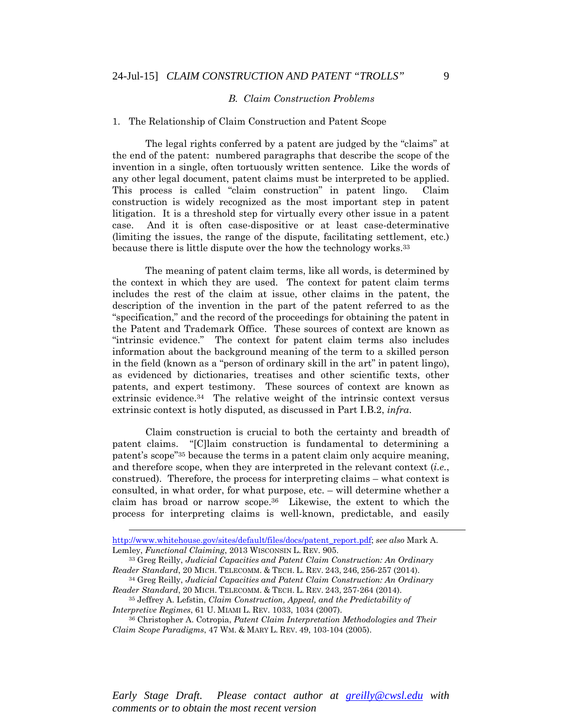#### *B. Claim Construction Problems*

#### 1. The Relationship of Claim Construction and Patent Scope

The legal rights conferred by a patent are judged by the "claims" at the end of the patent: numbered paragraphs that describe the scope of the invention in a single, often tortuously written sentence. Like the words of any other legal document, patent claims must be interpreted to be applied. This process is called "claim construction" in patent lingo. Claim construction is widely recognized as the most important step in patent litigation. It is a threshold step for virtually every other issue in a patent case. And it is often case-dispositive or at least case-determinative (limiting the issues, the range of the dispute, facilitating settlement, etc.) because there is little dispute over the how the technology works.33

The meaning of patent claim terms, like all words, is determined by the context in which they are used. The context for patent claim terms includes the rest of the claim at issue, other claims in the patent, the description of the invention in the part of the patent referred to as the "specification," and the record of the proceedings for obtaining the patent in the Patent and Trademark Office. These sources of context are known as "intrinsic evidence." The context for patent claim terms also includes information about the background meaning of the term to a skilled person in the field (known as a "person of ordinary skill in the art" in patent lingo), as evidenced by dictionaries, treatises and other scientific texts, other patents, and expert testimony. These sources of context are known as extrinsic evidence.<sup>34</sup> The relative weight of the intrinsic context versus extrinsic context is hotly disputed, as discussed in Part I.B.2, *infra*.

Claim construction is crucial to both the certainty and breadth of patent claims. "[C]laim construction is fundamental to determining a patent's scope"35 because the terms in a patent claim only acquire meaning, and therefore scope, when they are interpreted in the relevant context (*i.e.*, construed). Therefore, the process for interpreting claims – what context is consulted, in what order, for what purpose, etc. – will determine whether a claim has broad or narrow scope.36 Likewise, the extent to which the process for interpreting claims is well-known, predictable, and easily

 $\overline{a}$ 

http://www.whitehouse.gov/sites/default/files/docs/patent\_report.pdf; *see also* Mark A. Lemley, *Functional Claiming*, 2013 WISCONSIN L. REV. 905.<br><sup>33</sup> Greg Reilly, *Judicial Capacities and Patent Claim Construction: An Ordinary* 

*Reader Standard*, 20 MICH. TELECOMM. & TECH. L. REV. 243, 246, 256-257 (2014). 34 Greg Reilly, *Judicial Capacities and Patent Claim Construction: An Ordinary* 

*Reader Standard*, 20 MICH. TELECOMM. & TECH. L. REV. 243, 257-264 (2014). 35 Jeffrey A. Lefstin, *Claim Construction, Appeal, and the Predictability of Interpretive Regimes*, 61 U. MIAMI L. REV. 1033, 1034 (2007).<br><sup>36</sup> Christopher A. Cotropia, *Patent Claim Interpretation Methodologies and Their* 

*Claim Scope Paradigms*, 47 WM. & MARY L. REV. 49, 103-104 (2005).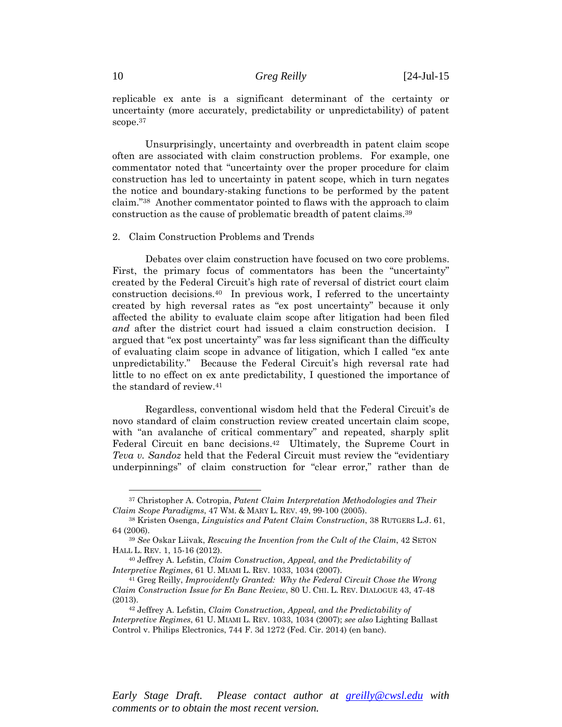replicable ex ante is a significant determinant of the certainty or uncertainty (more accurately, predictability or unpredictability) of patent scope.<sup>37</sup>

Unsurprisingly, uncertainty and overbreadth in patent claim scope often are associated with claim construction problems. For example, one commentator noted that "uncertainty over the proper procedure for claim construction has led to uncertainty in patent scope, which in turn negates the notice and boundary-staking functions to be performed by the patent claim."38 Another commentator pointed to flaws with the approach to claim construction as the cause of problematic breadth of patent claims.39

#### 2. Claim Construction Problems and Trends

Debates over claim construction have focused on two core problems. First, the primary focus of commentators has been the "uncertainty" created by the Federal Circuit's high rate of reversal of district court claim construction decisions.40 In previous work, I referred to the uncertainty created by high reversal rates as "ex post uncertainty" because it only affected the ability to evaluate claim scope after litigation had been filed *and* after the district court had issued a claim construction decision. I argued that "ex post uncertainty" was far less significant than the difficulty of evaluating claim scope in advance of litigation, which I called "ex ante unpredictability." Because the Federal Circuit's high reversal rate had little to no effect on ex ante predictability, I questioned the importance of the standard of review.41

Regardless, conventional wisdom held that the Federal Circuit's de novo standard of claim construction review created uncertain claim scope, with "an avalanche of critical commentary" and repeated, sharply split Federal Circuit en banc decisions.<sup>42</sup> Ultimately, the Supreme Court in *Teva v. Sandoz* held that the Federal Circuit must review the "evidentiary underpinnings" of claim construction for "clear error," rather than de

*Early Stage Draft. Please contact author at greilly@cwsl.edu with comments or to obtain the most recent version.* 

<sup>37</sup> Christopher A. Cotropia, *Patent Claim Interpretation Methodologies and Their* 

*Claim Scope Paradigms*, 47 WM. & MARY L. REV. 49, 99-100 (2005). 38 Kristen Osenga, *Linguistics and Patent Claim Construction*, 38 RUTGERS L.J. 61, 64 (2006). 39 *See* Oskar Liivak, *Rescuing the Invention from the Cult of the Claim*, 42 SETON

HALL L. REV. 1, 15-16 (2012). 40 Jeffrey A. Lefstin, *Claim Construction, Appeal, and the Predictability of* 

*Interpretive Regimes*, 61 U. MIAMI L. REV. 1033, 1034 (2007). 41 Greg Reilly, *Improvidently Granted: Why the Federal Circuit Chose the Wrong* 

*Claim Construction Issue for En Banc Review*, 80 U. CHI. L. REV. DIALOGUE 43, 47-48 (2013). 42 Jeffrey A. Lefstin, *Claim Construction, Appeal, and the Predictability of* 

*Interpretive Regimes*, 61 U. MIAMI L. REV. 1033, 1034 (2007); *see also* Lighting Ballast Control v. Philips Electronics, 744 F. 3d 1272 (Fed. Cir. 2014) (en banc).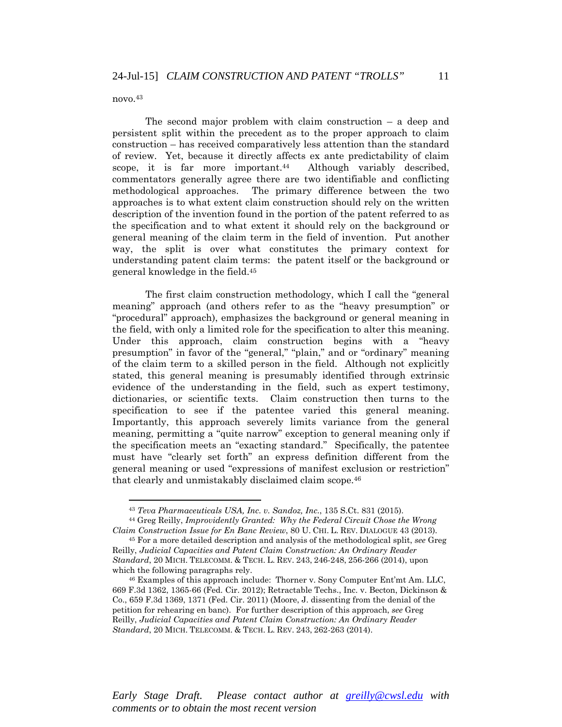novo.43

 $\overline{a}$ 

The second major problem with claim construction  $-$  a deep and persistent split within the precedent as to the proper approach to claim construction – has received comparatively less attention than the standard of review. Yet, because it directly affects ex ante predictability of claim scope, it is far more important.<sup>44</sup> Although variably described, commentators generally agree there are two identifiable and conflicting methodological approaches. The primary difference between the two approaches is to what extent claim construction should rely on the written description of the invention found in the portion of the patent referred to as the specification and to what extent it should rely on the background or general meaning of the claim term in the field of invention. Put another way, the split is over what constitutes the primary context for understanding patent claim terms: the patent itself or the background or general knowledge in the field.45

The first claim construction methodology, which I call the "general meaning" approach (and others refer to as the "heavy presumption" or "procedural" approach), emphasizes the background or general meaning in the field, with only a limited role for the specification to alter this meaning. Under this approach, claim construction begins with a "heavy presumption" in favor of the "general," "plain," and or "ordinary" meaning of the claim term to a skilled person in the field. Although not explicitly stated, this general meaning is presumably identified through extrinsic evidence of the understanding in the field, such as expert testimony, dictionaries, or scientific texts. Claim construction then turns to the specification to see if the patentee varied this general meaning. Importantly, this approach severely limits variance from the general meaning, permitting a "quite narrow" exception to general meaning only if the specification meets an "exacting standard." Specifically, the patentee must have "clearly set forth" an express definition different from the general meaning or used "expressions of manifest exclusion or restriction" that clearly and unmistakably disclaimed claim scope.46

<sup>43</sup> *Teva Pharmaceuticals USA, Inc. v. Sandoz, Inc.*, 135 S.Ct. 831 (2015). 44 Greg Reilly, *Improvidently Granted: Why the Federal Circuit Chose the Wrong* 

*Claim Construction Issue for En Banc Review*, 80 U. CHI. L. REV. DIALOGUE 43 (2013). 45 For a more detailed description and analysis of the methodological split, *see* Greg

Reilly, *Judicial Capacities and Patent Claim Construction: An Ordinary Reader Standard*, 20 MICH. TELECOMM. & TECH. L. REV. 243, 246-248, 256-266 (2014), upon which the following paragraphs rely.<br><sup>46</sup> Examples of this approach include: Thorner v. Sony Computer Ent'mt Am. LLC,

<sup>669</sup> F.3d 1362, 1365-66 (Fed. Cir. 2012); Retractable Techs., Inc. v. Becton, Dickinson & Co., 659 F.3d 1369, 1371 (Fed. Cir. 2011) (Moore, J. dissenting from the denial of the petition for rehearing en banc). For further description of this approach, *see* Greg Reilly, *Judicial Capacities and Patent Claim Construction: An Ordinary Reader Standard*, 20 MICH. TELECOMM. & TECH. L. REV. 243, 262-263 (2014).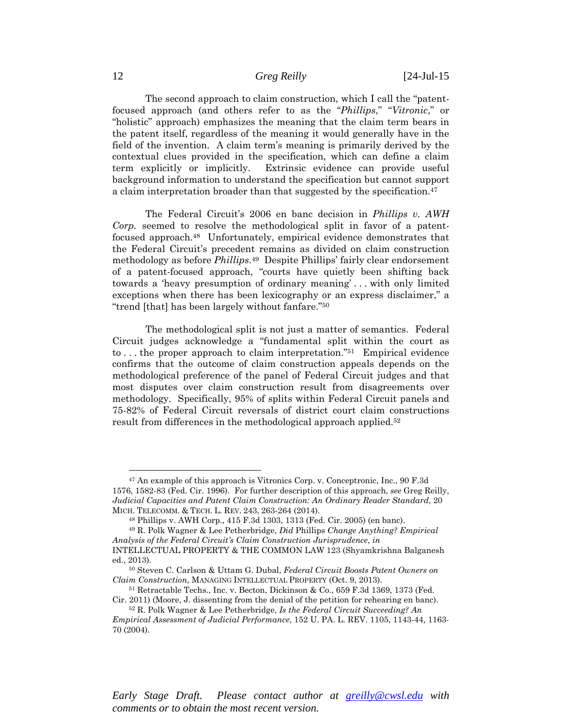The second approach to claim construction, which I call the "patentfocused approach (and others refer to as the "*Phillips*," "*Vitronic*," or "holistic" approach) emphasizes the meaning that the claim term bears in the patent itself, regardless of the meaning it would generally have in the field of the invention. A claim term's meaning is primarily derived by the contextual clues provided in the specification, which can define a claim term explicitly or implicitly. Extrinsic evidence can provide useful background information to understand the specification but cannot support a claim interpretation broader than that suggested by the specification.<sup>47</sup>

The Federal Circuit's 2006 en banc decision in *Phillips v. AWH Corp.* seemed to resolve the methodological split in favor of a patentfocused approach.48 Unfortunately, empirical evidence demonstrates that the Federal Circuit's precedent remains as divided on claim construction methodology as before *Phillips*.49 Despite Phillips' fairly clear endorsement of a patent-focused approach, "courts have quietly been shifting back towards a 'heavy presumption of ordinary meaning' . . . with only limited exceptions when there has been lexicography or an express disclaimer," a "trend [that] has been largely without fanfare."50

The methodological split is not just a matter of semantics. Federal Circuit judges acknowledge a "fundamental split within the court as to . . . the proper approach to claim interpretation."51 Empirical evidence confirms that the outcome of claim construction appeals depends on the methodological preference of the panel of Federal Circuit judges and that most disputes over claim construction result from disagreements over methodology. Specifically, 95% of splits within Federal Circuit panels and 75-82% of Federal Circuit reversals of district court claim constructions result from differences in the methodological approach applied.52

<sup>47</sup> An example of this approach is Vitronics Corp. v. Conceptronic, Inc., 90 F.3d 1576, 1582-83 (Fed. Cir. 1996). For further description of this approach, *see* Greg Reilly, *Judicial Capacities and Patent Claim Construction: An Ordinary Reader Standard*, 20 MICH. TELECOMM. & TECH. L. REV. 243, 263-264 (2014). 48 Phillips v. AWH Corp., 415 F.3d 1303, 1313 (Fed. Cir. 2005) (en banc).

<sup>49</sup> R. Polk Wagner & Lee Petherbridge, *Did* Phillips *Change Anything? Empirical Analysis of the Federal Circuit's Claim Construction Jurisprudence*, *in*  INTELLECTUAL PROPERTY & THE COMMON LAW 123 (Shyamkrishna Balganesh

ed., 2013). 50 Steven C. Carlson & Uttam G. Dubal, *Federal Circuit Boosts Patent Owners on Claim Construction*, MANAGING INTELLECTUAL PROPERTY (Oct. 9, 2013).<br><sup>51</sup> Retractable Techs., Inc. v. Becton, Dickinson & Co., 659 F.3d 1369, 1373 (Fed.

Cir. 2011) (Moore, J. dissenting from the denial of the petition for rehearing en banc). 52 R. Polk Wagner & Lee Petherbridge, *Is the Federal Circuit Succeeding? An Empirical Assessment of Judicial Performance*, 152 U. PA. L. REV. 1105, 1143-44, 1163-

<sup>70 (2004).</sup>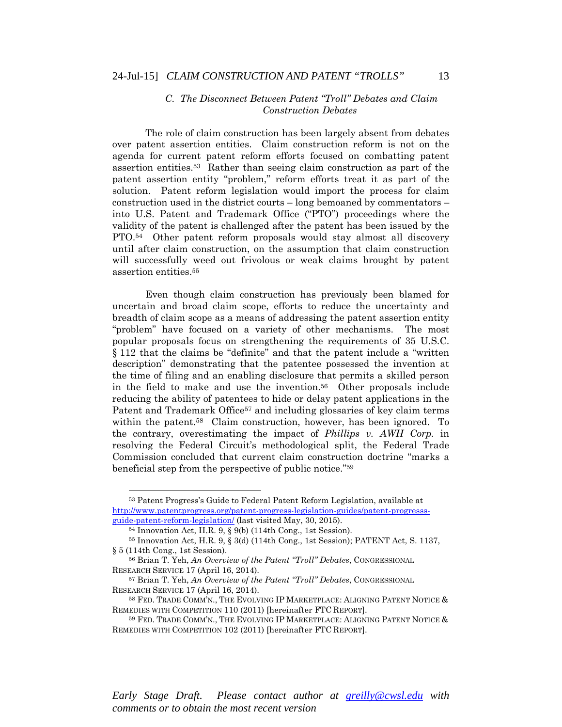## *C. The Disconnect Between Patent "Troll" Debates and Claim Construction Debates*

The role of claim construction has been largely absent from debates over patent assertion entities. Claim construction reform is not on the agenda for current patent reform efforts focused on combatting patent assertion entities.53 Rather than seeing claim construction as part of the patent assertion entity "problem," reform efforts treat it as part of the solution. Patent reform legislation would import the process for claim construction used in the district courts – long bemoaned by commentators – into U.S. Patent and Trademark Office ("PTO") proceedings where the validity of the patent is challenged after the patent has been issued by the PTO.54 Other patent reform proposals would stay almost all discovery until after claim construction, on the assumption that claim construction will successfully weed out frivolous or weak claims brought by patent assertion entities.55

Even though claim construction has previously been blamed for uncertain and broad claim scope, efforts to reduce the uncertainty and breadth of claim scope as a means of addressing the patent assertion entity "problem" have focused on a variety of other mechanisms. The most popular proposals focus on strengthening the requirements of 35 U.S.C. § 112 that the claims be "definite" and that the patent include a "written description" demonstrating that the patentee possessed the invention at the time of filing and an enabling disclosure that permits a skilled person in the field to make and use the invention.56 Other proposals include reducing the ability of patentees to hide or delay patent applications in the Patent and Trademark Office<sup>57</sup> and including glossaries of key claim terms within the patent.<sup>58</sup> Claim construction, however, has been ignored. To the contrary, overestimating the impact of *Phillips v. AWH Corp.* in resolving the Federal Circuit's methodological split, the Federal Trade Commission concluded that current claim construction doctrine "marks a beneficial step from the perspective of public notice."59

 $\overline{a}$ 

<sup>53</sup> Patent Progress's Guide to Federal Patent Reform Legislation, available at http://www.patentprogress.org/patent-progress-legislation-guides/patent-progresssguide-patent-reform-legislation/ (last visited May, 30, 2015). 54 Innovation Act, H.R. 9, § 9(b) (114th Cong., 1st Session).

<sup>55</sup> Innovation Act, H.R. 9, § 3(d) (114th Cong., 1st Session); PATENT Act, S. 1137, § 5 (114th Cong., 1st Session). 56 Brian T. Yeh, *An Overview of the Patent "Troll" Debates*, CONGRESSIONAL

RESEARCH SERVICE 17 (April 16, 2014). 57 Brian T. Yeh, *An Overview of the Patent "Troll" Debates*, CONGRESSIONAL

RESEARCH SERVICE 17 (April 16, 2014).<br><sup>58</sup> Fed. Trade Comm'n., The Evolving IP Marketplace: Aligning Patent Notice &

REMEDIES WITH COMPETITION 110 (2011) [hereinafter FTC REPORT].<br><sup>59</sup> FED. TRADE COMM'N., THE EVOLVING IP MARKETPLACE: ALIGNING PATENT NOTICE &

REMEDIES WITH COMPETITION 102 (2011) [hereinafter FTC REPORT].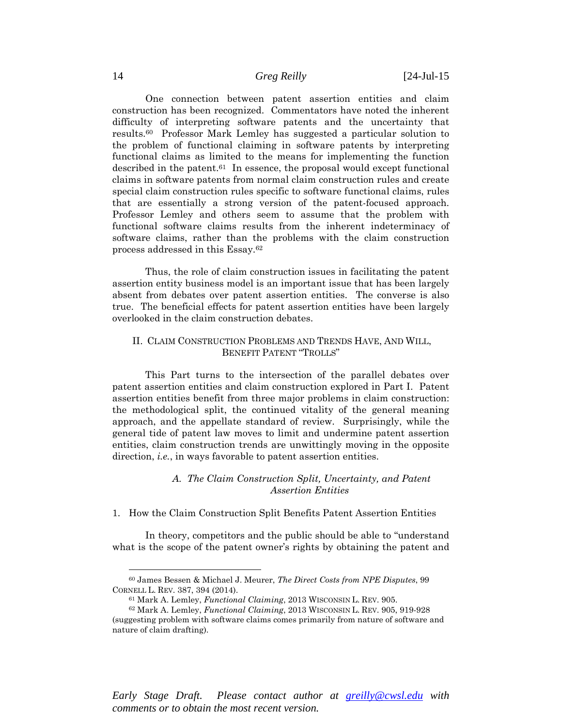One connection between patent assertion entities and claim construction has been recognized. Commentators have noted the inherent difficulty of interpreting software patents and the uncertainty that results.60 Professor Mark Lemley has suggested a particular solution to the problem of functional claiming in software patents by interpreting functional claims as limited to the means for implementing the function described in the patent.61 In essence, the proposal would except functional claims in software patents from normal claim construction rules and create special claim construction rules specific to software functional claims, rules that are essentially a strong version of the patent-focused approach. Professor Lemley and others seem to assume that the problem with functional software claims results from the inherent indeterminacy of software claims, rather than the problems with the claim construction process addressed in this Essay.62

Thus, the role of claim construction issues in facilitating the patent assertion entity business model is an important issue that has been largely absent from debates over patent assertion entities. The converse is also true. The beneficial effects for patent assertion entities have been largely overlooked in the claim construction debates.

### II. CLAIM CONSTRUCTION PROBLEMS AND TRENDS HAVE, AND WILL, BENEFIT PATENT "TROLLS"

This Part turns to the intersection of the parallel debates over patent assertion entities and claim construction explored in Part I. Patent assertion entities benefit from three major problems in claim construction: the methodological split, the continued vitality of the general meaning approach, and the appellate standard of review. Surprisingly, while the general tide of patent law moves to limit and undermine patent assertion entities, claim construction trends are unwittingly moving in the opposite direction, *i.e.*, in ways favorable to patent assertion entities.

## *A. The Claim Construction Split, Uncertainty, and Patent Assertion Entities*

1. How the Claim Construction Split Benefits Patent Assertion Entities

In theory, competitors and the public should be able to "understand what is the scope of the patent owner's rights by obtaining the patent and

*Early Stage Draft. Please contact author at greilly@cwsl.edu with comments or to obtain the most recent version.* 

<sup>60</sup> James Bessen & Michael J. Meurer, *The Direct Costs from NPE Disputes*, 99

<sup>&</sup>lt;sup>61</sup> Mark A. Lemley, *Functional Claiming*, 2013 WISCONSIN L. REV. 905.<br><sup>62</sup> Mark A. Lemley, *Functional Claiming*, 2013 WISCONSIN L. REV. 905, 919-928

<sup>(</sup>suggesting problem with software claims comes primarily from nature of software and nature of claim drafting).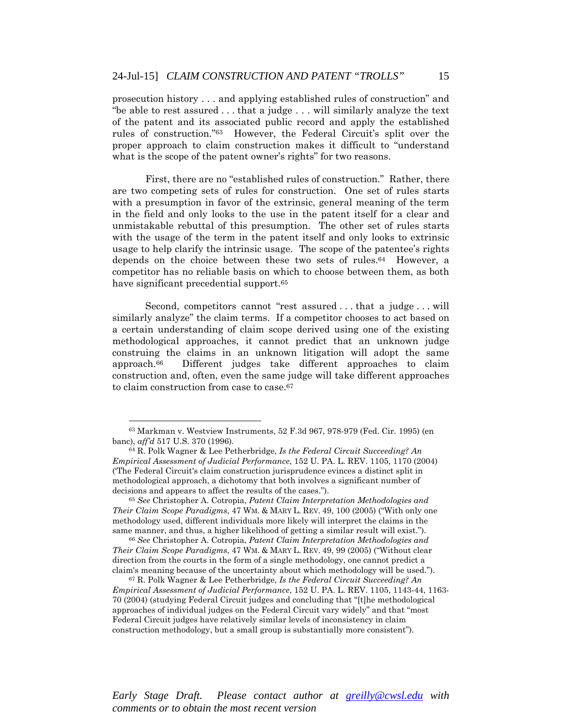prosecution history . . . and applying established rules of construction" and "be able to rest assured . . . that a judge . . . will similarly analyze the text of the patent and its associated public record and apply the established rules of construction."63 However, the Federal Circuit's split over the proper approach to claim construction makes it difficult to "understand what is the scope of the patent owner's rights" for two reasons.

First, there are no "established rules of construction." Rather, there are two competing sets of rules for construction. One set of rules starts with a presumption in favor of the extrinsic, general meaning of the term in the field and only looks to the use in the patent itself for a clear and unmistakable rebuttal of this presumption. The other set of rules starts with the usage of the term in the patent itself and only looks to extrinsic usage to help clarify the intrinsic usage. The scope of the patentee's rights depends on the choice between these two sets of rules.64 However, a competitor has no reliable basis on which to choose between them, as both have significant precedential support.<sup>65</sup>

Second, competitors cannot "rest assured . . . that a judge . . . will similarly analyze" the claim terms. If a competitor chooses to act based on a certain understanding of claim scope derived using one of the existing methodological approaches, it cannot predict that an unknown judge construing the claims in an unknown litigation will adopt the same approach.66 Different judges take different approaches to claim construction and, often, even the same judge will take different approaches to claim construction from case to case.67

 $\overline{a}$ 

*Their Claim Scope Paradigms*, 47 WM. & MARY L. REV. 49, 99 (2005) ("Without clear direction from the courts in the form of a single methodology, one cannot predict a claim's meaning because of the uncertainty about which methodology will be used."). 67 R. Polk Wagner & Lee Petherbridge, *Is the Federal Circuit Succeeding? An* 

<sup>63</sup> Markman v. Westview Instruments, 52 F.3d 967, 978-979 (Fed. Cir. 1995) (en banc), *aff'd* 517 U.S. 370 (1996).<br><sup>64</sup> R. Polk Wagner & Lee Petherbridge, *Is the Federal Circuit Succeeding? An* 

*Empirical Assessment of Judicial Performance*, 152 U. PA. L. REV. 1105, 1170 (2004) ('The Federal Circuit's claim construction jurisprudence evinces a distinct split in methodological approach, a dichotomy that both involves a significant number of decisions and appears to affect the results of the cases.").<br><sup>65</sup> *See* Christopher A. Cotropia, *Patent Claim Interpretation Methodologies and* 

*Their Claim Scope Paradigms*, 47 WM. & MARY L. REV. 49, 100 (2005) ("With only one methodology used, different individuals more likely will interpret the claims in the same manner, and thus, a higher likelihood of getting a similar result will exist."). 66 *See* Christopher A. Cotropia, *Patent Claim Interpretation Methodologies and* 

*Empirical Assessment of Judicial Performance*, 152 U. PA. L. REV. 1105, 1143-44, 1163- 70 (2004) (studying Federal Circuit judges and concluding that "[t]he methodological approaches of individual judges on the Federal Circuit vary widely" and that "most Federal Circuit judges have relatively similar levels of inconsistency in claim construction methodology, but a small group is substantially more consistent").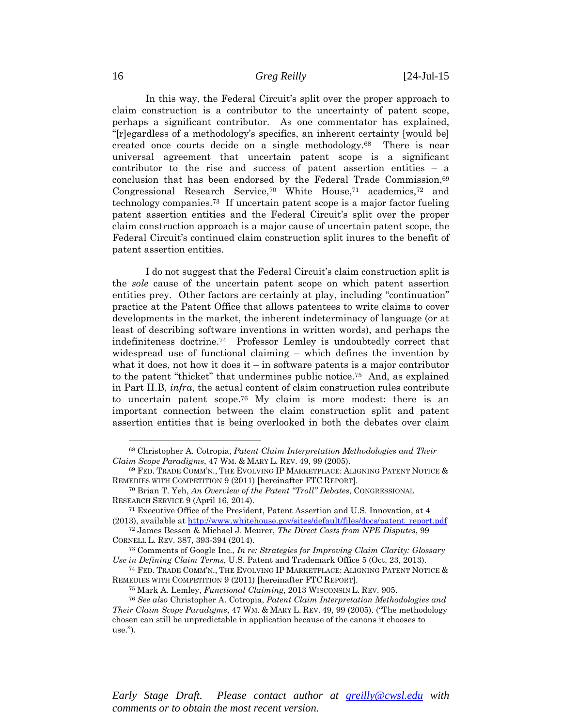In this way, the Federal Circuit's split over the proper approach to claim construction is a contributor to the uncertainty of patent scope, perhaps a significant contributor. As one commentator has explained, "[r]egardless of a methodology's specifics, an inherent certainty [would be] created once courts decide on a single methodology.68 There is near universal agreement that uncertain patent scope is a significant contributor to the rise and success of patent assertion entities – a conclusion that has been endorsed by the Federal Trade Commission,<sup>69</sup> Congressional Research Service,70 White House,71 academics,72 and technology companies.73 If uncertain patent scope is a major factor fueling patent assertion entities and the Federal Circuit's split over the proper claim construction approach is a major cause of uncertain patent scope, the Federal Circuit's continued claim construction split inures to the benefit of patent assertion entities.

I do not suggest that the Federal Circuit's claim construction split is the *sole* cause of the uncertain patent scope on which patent assertion entities prey. Other factors are certainly at play, including "continuation" practice at the Patent Office that allows patentees to write claims to cover developments in the market, the inherent indeterminacy of language (or at least of describing software inventions in written words), and perhaps the indefiniteness doctrine.74 Professor Lemley is undoubtedly correct that widespread use of functional claiming – which defines the invention by what it does, not how it does  $it - in$  software patents is a major contributor to the patent "thicket" that undermines public notice.75 And, as explained in Part II.B, *infra*, the actual content of claim construction rules contribute to uncertain patent scope.76 My claim is more modest: there is an important connection between the claim construction split and patent assertion entities that is being overlooked in both the debates over claim

 $\overline{a}$ 

<sup>68</sup> Christopher A. Cotropia, *Patent Claim Interpretation Methodologies and Their Claim Scope Paradigms*, 47 WM. & MARY L. REV. 49, 99 (2005). 69 FED. TRADE COMM'N., THE EVOLVING IP MARKETPLACE: ALIGNING PATENT NOTICE &

REMEDIES WITH COMPETITION 9 (2011) [hereinafter FTC REPORT]. 70 Brian T. Yeh, *An Overview of the Patent "Troll" Debates*, CONGRESSIONAL

RESEARCH SERVICE 9 (April 16, 2014).<br><sup>71</sup> Executive Office of the President, Patent Assertion and U.S. Innovation, at 4 (2013), available at http://www.whitehouse.gov/sites/default/files/docs/patent\_report.pdf

<sup>72</sup> James Bessen & Michael J. Meurer, *The Direct Costs from NPE Disputes*, 99 CORNELL L. REV. 387, 393-394 (2014). 73 Comments of Google Inc., *In re: Strategies for Improving Claim Clarity: Glossary* 

*Use in Defining Claim Terms*, U.S. Patent and Trademark Office 5 (Oct. 23, 2013).<br><sup>74</sup> FED. TRADE COMM'N., THE EVOLVING IP MARKETPLACE: ALIGNING PATENT NOTICE &

REMEDIES WITH COMPETITION 9 (2011) [hereinafter FTC REPORT].<br><sup>75</sup> Mark A. Lemley, *Functional Claiming*, 2013 WISCONSIN L. REV. 905.<br><sup>76</sup> See also Christopher A. Cotropia, *Patent Claim Interpretation Methodologies and Their Claim Scope Paradigms*, 47 WM. & MARY L. REV. 49, 99 (2005). ("The methodology chosen can still be unpredictable in application because of the canons it chooses to use.").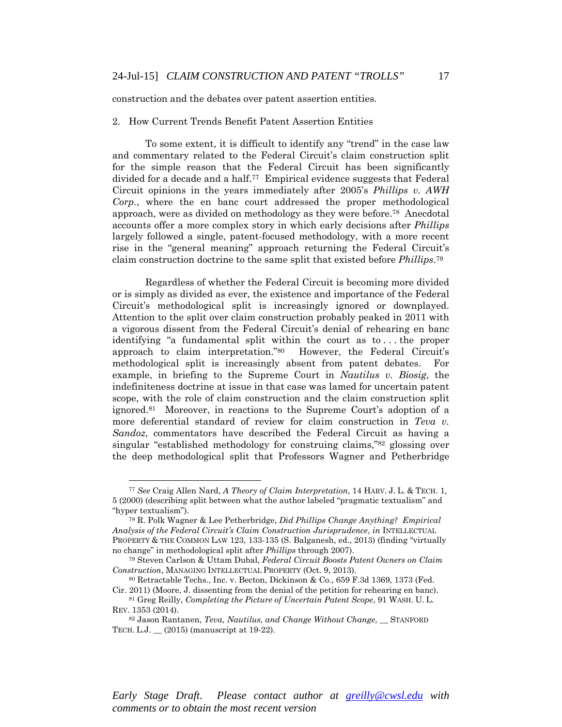construction and the debates over patent assertion entities.

#### 2. How Current Trends Benefit Patent Assertion Entities

To some extent, it is difficult to identify any "trend" in the case law and commentary related to the Federal Circuit's claim construction split for the simple reason that the Federal Circuit has been significantly divided for a decade and a half.77 Empirical evidence suggests that Federal Circuit opinions in the years immediately after 2005's *Phillips v. AWH Corp.*, where the en banc court addressed the proper methodological approach, were as divided on methodology as they were before.78 Anecdotal accounts offer a more complex story in which early decisions after *Phillips* largely followed a single, patent-focused methodology, with a more recent rise in the "general meaning" approach returning the Federal Circuit's claim construction doctrine to the same split that existed before *Phillips*.79

Regardless of whether the Federal Circuit is becoming more divided or is simply as divided as ever, the existence and importance of the Federal Circuit's methodological split is increasingly ignored or downplayed. Attention to the split over claim construction probably peaked in 2011 with a vigorous dissent from the Federal Circuit's denial of rehearing en banc identifying "a fundamental split within the court as to . . . the proper approach to claim interpretation."80 However, the Federal Circuit's methodological split is increasingly absent from patent debates. For example, in briefing to the Supreme Court in *Nautilus v. Biosig*, the indefiniteness doctrine at issue in that case was lamed for uncertain patent scope, with the role of claim construction and the claim construction split ignored.81 Moreover, in reactions to the Supreme Court's adoption of a more deferential standard of review for claim construction in *Teva v. Sandoz*, commentators have described the Federal Circuit as having a singular "established methodology for construing claims,"82 glossing over the deep methodological split that Professors Wagner and Petherbridge

 $\overline{a}$ 

<sup>77</sup> *See* Craig Allen Nard, *A Theory of Claim Interpretation*, 14 HARV. J. L. & TECH. 1, 5 (2000) (describing split between what the author labeled "pragmatic textualism" and "hyper textualism"). 78 R. Polk Wagner & Lee Petherbridge, *Did Phillips Change Anything? Empirical* 

*Analysis of the Federal Circuit's Claim Construction Jurisprudence*, *in* INTELLECTUAL PROPERTY & THE COMMON LAW 123, 133-135 (S. Balganesh, ed., 2013) (finding "virtually no change" in methodological split after *Phillips* through 2007). 79 Steven Carlson & Uttam Dubal, *Federal Circuit Boosts Patent Owners on Claim* 

*Construction*, MANAGING INTELLECTUAL PROPERTY (Oct. 9, 2013).<br><sup>80</sup> Retractable Techs., Inc. v. Becton, Dickinson & Co., 659 F.3d 1369, 1373 (Fed.

Cir. 2011) (Moore, J. dissenting from the denial of the petition for rehearing en banc). 81 Greg Reilly, *Completing the Picture of Uncertain Patent Scope*, 91 WASH. U. L. REV. 1353 (2014).

<sup>82</sup> Jason Rantanen, *Teva, Nautilus, and Change Without Change*, \_\_ STANFORD TECH. L.J. \_\_ (2015) (manuscript at 19-22).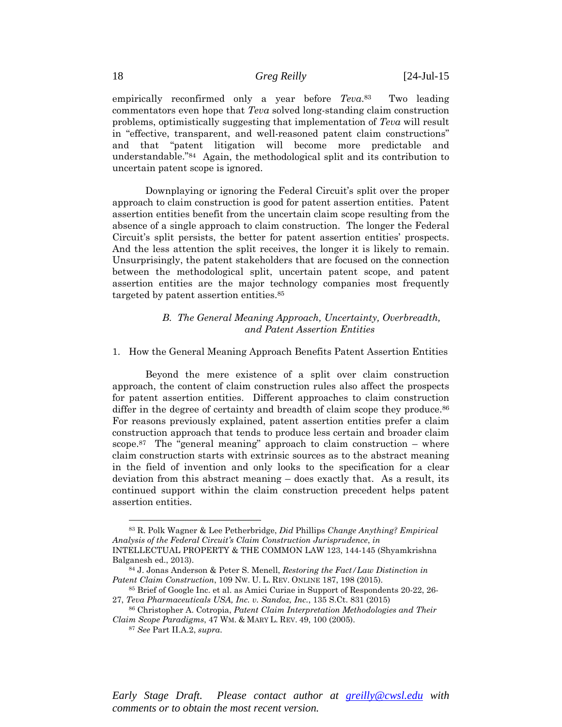empirically reconfirmed only a year before *Teva*.83 Two leading commentators even hope that *Teva* solved long-standing claim construction problems, optimistically suggesting that implementation of *Teva* will result in "effective, transparent, and well-reasoned patent claim constructions" and that "patent litigation will become more predictable and understandable."84 Again, the methodological split and its contribution to uncertain patent scope is ignored.

Downplaying or ignoring the Federal Circuit's split over the proper approach to claim construction is good for patent assertion entities. Patent assertion entities benefit from the uncertain claim scope resulting from the absence of a single approach to claim construction. The longer the Federal Circuit's split persists, the better for patent assertion entities' prospects. And the less attention the split receives, the longer it is likely to remain. Unsurprisingly, the patent stakeholders that are focused on the connection between the methodological split, uncertain patent scope, and patent assertion entities are the major technology companies most frequently targeted by patent assertion entities.85

# *B. The General Meaning Approach, Uncertainty, Overbreadth, and Patent Assertion Entities*

#### 1. How the General Meaning Approach Benefits Patent Assertion Entities

Beyond the mere existence of a split over claim construction approach, the content of claim construction rules also affect the prospects for patent assertion entities. Different approaches to claim construction differ in the degree of certainty and breadth of claim scope they produce.<sup>86</sup> For reasons previously explained, patent assertion entities prefer a claim construction approach that tends to produce less certain and broader claim scope.<sup>87</sup> The "general meaning" approach to claim construction – where claim construction starts with extrinsic sources as to the abstract meaning in the field of invention and only looks to the specification for a clear deviation from this abstract meaning – does exactly that. As a result, its continued support within the claim construction precedent helps patent assertion entities.

 $\overline{a}$ 

<sup>83</sup> R. Polk Wagner & Lee Petherbridge, *Did* Phillips *Change Anything? Empirical Analysis of the Federal Circuit's Claim Construction Jurisprudence*, *in*  INTELLECTUAL PROPERTY & THE COMMON LAW 123, 144-145 (Shyamkrishna

Balganesh ed., 2013). 84 J. Jonas Anderson & Peter S. Menell, *Restoring the Fact/Law Distinction in Patent Claim Construction*, 109 NW. U. L. REV. ONLINE 187, 198 (2015).<br><sup>85</sup> Brief of Google Inc. et al. as Amici Curiae in Support of Respondents 20-22, 26-

<sup>27,</sup> *Teva Pharmaceuticals USA, Inc. v. Sandoz, Inc.*, 135 S.Ct. 831 (2015) 86 Christopher A. Cotropia, *Patent Claim Interpretation Methodologies and Their* 

*Claim Scope Paradigms*, 47 WM. & MARY L. REV. 49, 100 (2005). 87 *See* Part II.A.2, *supra*.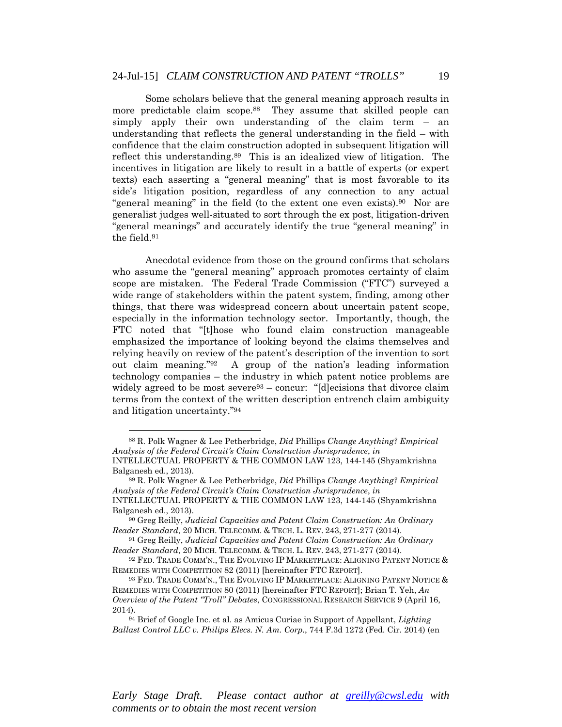Some scholars believe that the general meaning approach results in more predictable claim scope.<sup>88</sup> They assume that skilled people can simply apply their own understanding of the claim term – an understanding that reflects the general understanding in the field – with confidence that the claim construction adopted in subsequent litigation will reflect this understanding.89 This is an idealized view of litigation. The incentives in litigation are likely to result in a battle of experts (or expert texts) each asserting a "general meaning" that is most favorable to its side's litigation position, regardless of any connection to any actual "general meaning" in the field (to the extent one even exists).90 Nor are generalist judges well-situated to sort through the ex post, litigation-driven "general meanings" and accurately identify the true "general meaning" in the field.91

Anecdotal evidence from those on the ground confirms that scholars who assume the "general meaning" approach promotes certainty of claim scope are mistaken. The Federal Trade Commission ("FTC") surveyed a wide range of stakeholders within the patent system, finding, among other things, that there was widespread concern about uncertain patent scope, especially in the information technology sector. Importantly, though, the FTC noted that "[t]hose who found claim construction manageable emphasized the importance of looking beyond the claims themselves and relying heavily on review of the patent's description of the invention to sort out claim meaning."92 A group of the nation's leading information technology companies – the industry in which patent notice problems are widely agreed to be most severe<sup>93</sup> – concur: "[d]ecisions that divorce claim terms from the context of the written description entrench claim ambiguity and litigation uncertainty."94

 $\overline{a}$ 

<sup>88</sup> R. Polk Wagner & Lee Petherbridge, *Did* Phillips *Change Anything? Empirical Analysis of the Federal Circuit's Claim Construction Jurisprudence*, *in*  INTELLECTUAL PROPERTY & THE COMMON LAW 123, 144-145 (Shyamkrishna Balganesh ed., 2013).

<sup>89</sup> R. Polk Wagner & Lee Petherbridge, *Did* Phillips *Change Anything? Empirical Analysis of the Federal Circuit's Claim Construction Jurisprudence*, *in*  INTELLECTUAL PROPERTY & THE COMMON LAW 123, 144-145 (Shyamkrishna

Balganesh ed., 2013).<br><sup>90</sup> Greg Reilly, *Judicial Capacities and Patent Claim Construction: An Ordinary* 

*Reader Standard*, 20 MICH. TELECOMM. & TECH. L. REV. 243, 271-277 (2014). 91 Greg Reilly, *Judicial Capacities and Patent Claim Construction: An Ordinary* 

*Reader Standard*, 20 MICH. TELECOMM. & TECH. L. REV. 243, 271-277 (2014).<br><sup>92</sup> FED. TRADE COMM'N., THE EVOLVING IP MARKETPLACE: ALIGNING PATENT NOTICE & REMEDIES WITH COMPETITION 82 (2011) [hereinafter FTC REPORT].<br><sup>93</sup> FED. TRADE COMM'N., THE EVOLVING IP MARKETPLACE: ALIGNING PATENT NOTICE &

REMEDIES WITH COMPETITION 80 (2011) [hereinafter FTC REPORT]; Brian T. Yeh, *An Overview of the Patent "Troll" Debates*, CONGRESSIONAL RESEARCH SERVICE 9 (April 16, 2014). 94 Brief of Google Inc. et al. as Amicus Curiae in Support of Appellant, *Lighting* 

*Ballast Control LLC v. Philips Elecs. N. Am. Corp.*, 744 F.3d 1272 (Fed. Cir. 2014) (en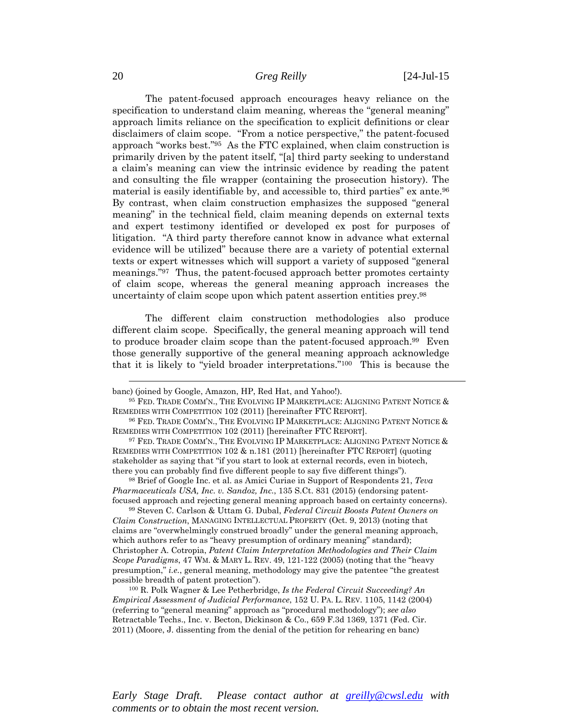The patent-focused approach encourages heavy reliance on the specification to understand claim meaning, whereas the "general meaning" approach limits reliance on the specification to explicit definitions or clear disclaimers of claim scope. "From a notice perspective," the patent-focused approach "works best."95 As the FTC explained, when claim construction is primarily driven by the patent itself, "[a] third party seeking to understand a claim's meaning can view the intrinsic evidence by reading the patent and consulting the file wrapper (containing the prosecution history). The material is easily identifiable by, and accessible to, third parties" ex ante.96 By contrast, when claim construction emphasizes the supposed "general meaning" in the technical field, claim meaning depends on external texts and expert testimony identified or developed ex post for purposes of litigation. "A third party therefore cannot know in advance what external evidence will be utilized" because there are a variety of potential external texts or expert witnesses which will support a variety of supposed "general meanings."97 Thus, the patent-focused approach better promotes certainty of claim scope, whereas the general meaning approach increases the uncertainty of claim scope upon which patent assertion entities prey.98

The different claim construction methodologies also produce different claim scope. Specifically, the general meaning approach will tend to produce broader claim scope than the patent-focused approach.<sup>99</sup> Even those generally supportive of the general meaning approach acknowledge that it is likely to "yield broader interpretations."100 This is because the

*Pharmaceuticals USA, Inc. v. Sandoz, Inc.*, 135 S.Ct. 831 (2015) (endorsing patent-

focused approach and rejecting general meaning approach based on certainty concerns). 99 Steven C. Carlson & Uttam G. Dubal, *Federal Circuit Boosts Patent Owners on Claim Construction*, MANAGING INTELLECTUAL PROPERTY (Oct. 9, 2013) (noting that claims are "overwhelmingly construed broadly" under the general meaning approach, which authors refer to as "heavy presumption of ordinary meaning" standard); Christopher A. Cotropia, *Patent Claim Interpretation Methodologies and Their Claim Scope Paradigms*, 47 WM. & MARY L. REV. 49, 121-122 (2005) (noting that the "heavy presumption," *i.e.*, general meaning, methodology may give the patentee "the greatest possible breadth of patent protection"). 100 R. Polk Wagner & Lee Petherbridge, *Is the Federal Circuit Succeeding? An* 

*Empirical Assessment of Judicial Performance*, 152 U. PA. L. REV. 1105, 1142 (2004) (referring to "general meaning" approach as "procedural methodology"); *see also* Retractable Techs., Inc. v. Becton, Dickinson & Co., 659 F.3d 1369, 1371 (Fed. Cir. 2011) (Moore, J. dissenting from the denial of the petition for rehearing en banc)

*Early Stage Draft. Please contact author at greilly@cwsl.edu with comments or to obtain the most recent version.* 

banc) (joined by Google, Amazon, HP, Red Hat, and Yahoo!). 95 FED. TRADE COMM'N., THE EVOLVING IP MARKETPLACE: ALIGNING PATENT NOTICE & REMEDIES WITH COMPETITION 102 (2011) [hereinafter FTC REPORT].<br><sup>96</sup> FED. TRADE COMM'N., THE EVOLVING IP MARKETPLACE: ALIGNING PATENT NOTICE &

REMEDIES WITH COMPETITION 102 (2011) [hereinafter FTC REPORT].<br><sup>97</sup> FED. TRADE COMM'N., THE EVOLVING IP MARKETPLACE: ALIGNING PATENT NOTICE &

REMEDIES WITH COMPETITION 102 & n.181 (2011) [hereinafter FTC REPORT] (quoting stakeholder as saying that "if you start to look at external records, even in biotech, there you can probably find five different people to say five different things"). 98 Brief of Google Inc. et al. as Amici Curiae in Support of Respondents 21, *Teva*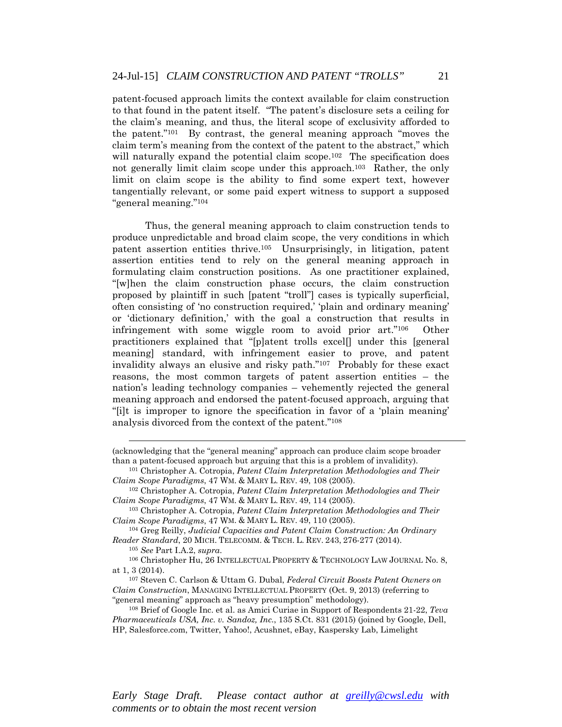patent-focused approach limits the context available for claim construction to that found in the patent itself. "The patent's disclosure sets a ceiling for the claim's meaning, and thus, the literal scope of exclusivity afforded to the patent."101 By contrast, the general meaning approach "moves the claim term's meaning from the context of the patent to the abstract," which will naturally expand the potential claim scope.<sup>102</sup> The specification does not generally limit claim scope under this approach.103 Rather, the only limit on claim scope is the ability to find some expert text, however tangentially relevant, or some paid expert witness to support a supposed "general meaning."104

Thus, the general meaning approach to claim construction tends to produce unpredictable and broad claim scope, the very conditions in which patent assertion entities thrive.105 Unsurprisingly, in litigation, patent assertion entities tend to rely on the general meaning approach in formulating claim construction positions. As one practitioner explained, "[w]hen the claim construction phase occurs, the claim construction proposed by plaintiff in such [patent "troll"] cases is typically superficial, often consisting of 'no construction required,' 'plain and ordinary meaning' or 'dictionary definition,' with the goal a construction that results in infringement with some wiggle room to avoid prior art."106 Other practitioners explained that "[p]atent trolls excel[] under this [general meaning] standard, with infringement easier to prove, and patent invalidity always an elusive and risky path."107 Probably for these exact reasons, the most common targets of patent assertion entities – the nation's leading technology companies – vehemently rejected the general meaning approach and endorsed the patent-focused approach, arguing that "[i]t is improper to ignore the specification in favor of a 'plain meaning' analysis divorced from the context of the patent."108

 $\overline{a}$ 

at 1, 3 (2014). 107 Steven C. Carlson & Uttam G. Dubal, *Federal Circuit Boosts Patent Owners on* 

*Claim Construction*, MANAGING INTELLECTUAL PROPERTY (Oct. 9, 2013) (referring to

<sup>(</sup>acknowledging that the "general meaning" approach can produce claim scope broader than a patent-focused approach but arguing that this is a problem of invalidity). 101 Christopher A. Cotropia, *Patent Claim Interpretation Methodologies and Their* 

*Claim Scope Paradigms*, 47 WM. & MARY L. REV. 49, 108 (2005). 102 Christopher A. Cotropia, *Patent Claim Interpretation Methodologies and Their* 

*Claim Scope Paradigms*, 47 WM. & MARY L. REV. 49, 114 (2005). 103 Christopher A. Cotropia, *Patent Claim Interpretation Methodologies and Their* 

*Claim Scope Paradigms*, 47 WM. & MARY L. REV. 49, 110 (2005). 104 Greg Reilly, *Judicial Capacities and Patent Claim Construction: An Ordinary* 

*Reader Standard*, 20 MICH. TELECOMM. & TECH. L. REV. 243, 276-277 (2014). 105 *See* Part I.A.2, *supra*. 106 Christopher Hu, 26 INTELLECTUAL PROPERTY & TECHNOLOGY LAW JOURNAL No. 8,

<sup>&</sup>quot;general meaning" approach as "heavy presumption" methodology). 108 Brief of Google Inc. et al. as Amici Curiae in Support of Respondents 21-22, *Teva Pharmaceuticals USA, Inc. v. Sandoz, Inc.*, 135 S.Ct. 831 (2015) (joined by Google, Dell, HP, Salesforce.com, Twitter, Yahoo!, Acushnet, eBay, Kaspersky Lab, Limelight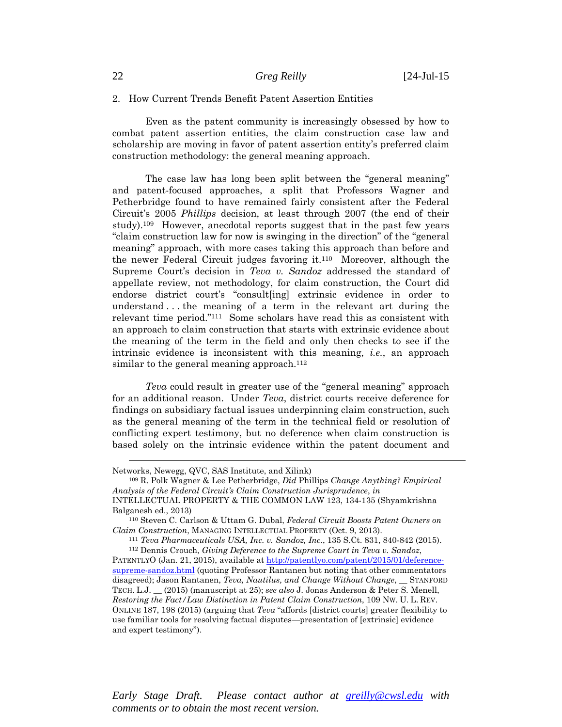#### 2. How Current Trends Benefit Patent Assertion Entities

Even as the patent community is increasingly obsessed by how to combat patent assertion entities, the claim construction case law and scholarship are moving in favor of patent assertion entity's preferred claim construction methodology: the general meaning approach.

The case law has long been split between the "general meaning" and patent-focused approaches, a split that Professors Wagner and Petherbridge found to have remained fairly consistent after the Federal Circuit's 2005 *Phillips* decision, at least through 2007 (the end of their study).109 However, anecdotal reports suggest that in the past few years "claim construction law for now is swinging in the direction" of the "general meaning" approach, with more cases taking this approach than before and the newer Federal Circuit judges favoring it.110 Moreover, although the Supreme Court's decision in *Teva v. Sandoz* addressed the standard of appellate review, not methodology, for claim construction, the Court did endorse district court's "consult[ing] extrinsic evidence in order to understand . . . the meaning of a term in the relevant art during the relevant time period."111 Some scholars have read this as consistent with an approach to claim construction that starts with extrinsic evidence about the meaning of the term in the field and only then checks to see if the intrinsic evidence is inconsistent with this meaning, *i.e.*, an approach similar to the general meaning approach.<sup>112</sup>

*Teva* could result in greater use of the "general meaning" approach for an additional reason. Under *Teva*, district courts receive deference for findings on subsidiary factual issues underpinning claim construction, such as the general meaning of the term in the technical field or resolution of conflicting expert testimony, but no deference when claim construction is based solely on the intrinsic evidence within the patent document and

 $\overline{a}$ 

Networks, Newegg, QVC, SAS Institute, and Xilink) 109 R. Polk Wagner & Lee Petherbridge, *Did* Phillips *Change Anything? Empirical Analysis of the Federal Circuit's Claim Construction Jurisprudence*, *in*  INTELLECTUAL PROPERTY & THE COMMON LAW 123, 134-135 (Shyamkrishna

Balganesh ed., 2013) 110 Steven C. Carlson & Uttam G. Dubal, *Federal Circuit Boosts Patent Owners on* 

Claim Construction, MANAGING INTELLECTUAL PROPERTY (Oct. 9, 2013).<br><sup>111</sup> Teva Pharmaceuticals USA, Inc. v. Sandoz, Inc., 135 S.Ct. 831, 840-842 (2015).<br><sup>112</sup> Dennis Crouch, Giving Deference to the Supreme Court in Teva v.

PATENTLYO (Jan. 21, 2015), available at http://patentlyo.com/patent/2015/01/deferencesupreme-sandoz.html (quoting Professor Rantanen but noting that other commentators disagreed); Jason Rantanen, *Teva, Nautilus, and Change Without Change*, \_\_ STANFORD TECH. L.J. \_\_ (2015) (manuscript at 25); *see also* J. Jonas Anderson & Peter S. Menell, *Restoring the Fact/Law Distinction in Patent Claim Construction*, 109 NW. U. L. REV. ONLINE 187, 198 (2015) (arguing that *Teva* "affords [district courts] greater flexibility to use familiar tools for resolving factual disputes—presentation of [extrinsic] evidence and expert testimony").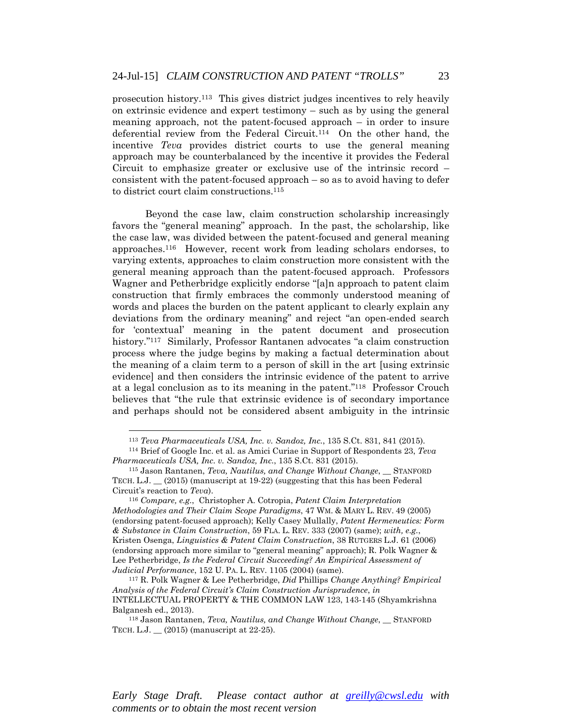prosecution history.113 This gives district judges incentives to rely heavily on extrinsic evidence and expert testimony – such as by using the general meaning approach, not the patent-focused approach – in order to insure deferential review from the Federal Circuit.114 On the other hand, the incentive *Teva* provides district courts to use the general meaning approach may be counterbalanced by the incentive it provides the Federal Circuit to emphasize greater or exclusive use of the intrinsic record – consistent with the patent-focused approach – so as to avoid having to defer to district court claim constructions.115

Beyond the case law, claim construction scholarship increasingly favors the "general meaning" approach. In the past, the scholarship, like the case law, was divided between the patent-focused and general meaning approaches.116 However, recent work from leading scholars endorses, to varying extents, approaches to claim construction more consistent with the general meaning approach than the patent-focused approach. Professors Wagner and Petherbridge explicitly endorse "[a]n approach to patent claim construction that firmly embraces the commonly understood meaning of words and places the burden on the patent applicant to clearly explain any deviations from the ordinary meaning" and reject "an open-ended search for 'contextual' meaning in the patent document and prosecution history."<sup>117</sup> Similarly, Professor Rantanen advocates "a claim construction process where the judge begins by making a factual determination about the meaning of a claim term to a person of skill in the art [using extrinsic evidence] and then considers the intrinsic evidence of the patent to arrive at a legal conclusion as to its meaning in the patent."118 Professor Crouch believes that "the rule that extrinsic evidence is of secondary importance and perhaps should not be considered absent ambiguity in the intrinsic

 $\overline{a}$ 

<sup>113</sup> *Teva Pharmaceuticals USA, Inc. v. Sandoz, Inc.*, 135 S.Ct. 831, 841 (2015). 114 Brief of Google Inc. et al. as Amici Curiae in Support of Respondents 23, *Teva* 

*Pharmaceuticals USA, Inc. v. Sandoz, Inc.*, 135 S.Ct. 831 (2015).<br><sup>115</sup> Jason Rantanen, *Teva, Nautilus, and Change Without Change*, \_\_ STANFORD

TECH. L.J. \_\_ (2015) (manuscript at 19-22) (suggesting that this has been Federal Circuit's reaction to *Teva*). 116 *Compare, e.g.*, Christopher A. Cotropia, *Patent Claim Interpretation* 

*Methodologies and Their Claim Scope Paradigms*, 47 WM. & MARY L. REV. 49 (2005) (endorsing patent-focused approach); Kelly Casey Mullally, *Patent Hermeneutics: Form & Substance in Claim Construction*, 59 FLA. L. REV. 333 (2007) (same); *with, e.g.*, Kristen Osenga, *Linguistics & Patent Claim Construction*, 38 RUTGERS L.J. 61 (2006) (endorsing approach more similar to "general meaning" approach); R. Polk Wagner & Lee Petherbridge, *Is the Federal Circuit Succeeding? An Empirical Assessment of Judicial Performance*, 152 U. PA. L. REV. 1105 (2004) (same).

<sup>117</sup> R. Polk Wagner & Lee Petherbridge, *Did* Phillips *Change Anything? Empirical Analysis of the Federal Circuit's Claim Construction Jurisprudence*, *in*  INTELLECTUAL PROPERTY & THE COMMON LAW 123, 143-145 (Shyamkrishna Balganesh ed., 2013).

<sup>118</sup> Jason Rantanen, *Teva, Nautilus, and Change Without Change*, \_\_ STANFORD TECH. L.J. \_\_ (2015) (manuscript at 22-25).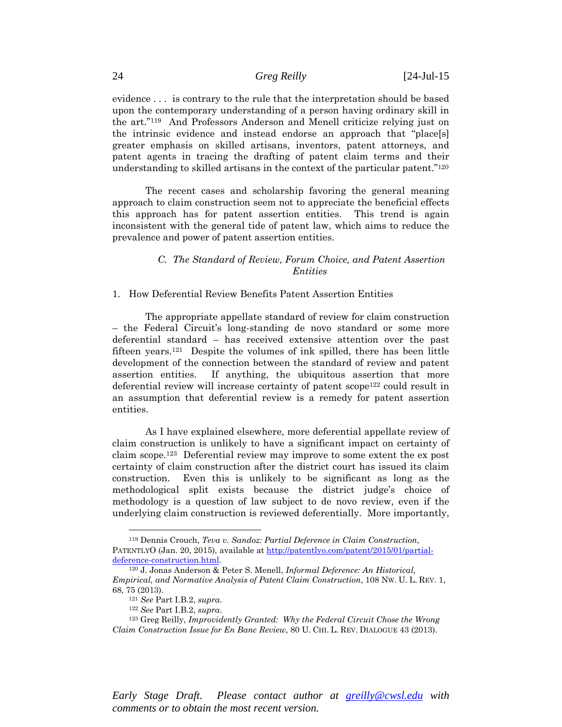evidence . . . is contrary to the rule that the interpretation should be based upon the contemporary understanding of a person having ordinary skill in the art."119 And Professors Anderson and Menell criticize relying just on the intrinsic evidence and instead endorse an approach that "place[s] greater emphasis on skilled artisans, inventors, patent attorneys, and patent agents in tracing the drafting of patent claim terms and their understanding to skilled artisans in the context of the particular patent."120

The recent cases and scholarship favoring the general meaning approach to claim construction seem not to appreciate the beneficial effects this approach has for patent assertion entities. This trend is again inconsistent with the general tide of patent law, which aims to reduce the prevalence and power of patent assertion entities.

### *C. The Standard of Review, Forum Choice, and Patent Assertion Entities*

#### 1. How Deferential Review Benefits Patent Assertion Entities

The appropriate appellate standard of review for claim construction – the Federal Circuit's long-standing de novo standard or some more deferential standard – has received extensive attention over the past fifteen years.121 Despite the volumes of ink spilled, there has been little development of the connection between the standard of review and patent assertion entities. If anything, the ubiquitous assertion that more deferential review will increase certainty of patent scope<sup>122</sup> could result in an assumption that deferential review is a remedy for patent assertion entities.

As I have explained elsewhere, more deferential appellate review of claim construction is unlikely to have a significant impact on certainty of claim scope.123 Deferential review may improve to some extent the ex post certainty of claim construction after the district court has issued its claim construction. Even this is unlikely to be significant as long as the methodological split exists because the district judge's choice of methodology is a question of law subject to de novo review, even if the underlying claim construction is reviewed deferentially. More importantly,

 $\overline{a}$ 

<sup>119</sup> Dennis Crouch, *Teva v. Sandoz: Partial Deference in Claim Construction*, PATENTLYO (Jan. 20, 2015), available at http://patentlyo.com/patent/2015/01/partialdeference-construction.html. 120 J. Jonas Anderson & Peter S. Menell, *Informal Deference: An Historical,* 

*Empirical, and Normative Analysis of Patent Claim Construction*, 108 NW. U. L. REV. 1, 68, 75 (2013). 121 *See* Part I.B.2, *supra*. 122 *See* Part I.B.2, *supra*. 123 Greg Reilly, *Improvidently Granted: Why the Federal Circuit Chose the Wrong* 

*Claim Construction Issue for En Banc Review*, 80 U. CHI. L. REV. DIALOGUE 43 (2013).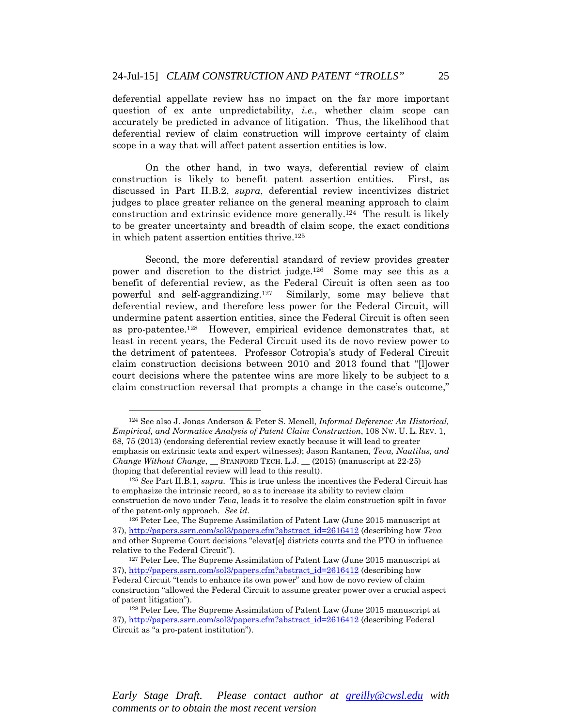deferential appellate review has no impact on the far more important question of ex ante unpredictability, *i.e.*, whether claim scope can accurately be predicted in advance of litigation. Thus, the likelihood that deferential review of claim construction will improve certainty of claim scope in a way that will affect patent assertion entities is low.

On the other hand, in two ways, deferential review of claim construction is likely to benefit patent assertion entities. First, as discussed in Part II.B.2, *supra*, deferential review incentivizes district judges to place greater reliance on the general meaning approach to claim construction and extrinsic evidence more generally.124 The result is likely to be greater uncertainty and breadth of claim scope, the exact conditions in which patent assertion entities thrive.125

Second, the more deferential standard of review provides greater power and discretion to the district judge.126 Some may see this as a benefit of deferential review, as the Federal Circuit is often seen as too powerful and self-aggrandizing.127 Similarly, some may believe that deferential review, and therefore less power for the Federal Circuit, will undermine patent assertion entities, since the Federal Circuit is often seen as pro-patentee.128 However, empirical evidence demonstrates that, at least in recent years, the Federal Circuit used its de novo review power to the detriment of patentees. Professor Cotropia's study of Federal Circuit claim construction decisions between 2010 and 2013 found that "[l]ower court decisions where the patentee wins are more likely to be subject to a claim construction reversal that prompts a change in the case's outcome,"

 $\overline{a}$ 

<sup>124</sup> See also J. Jonas Anderson & Peter S. Menell, *Informal Deference: An Historical, Empirical, and Normative Analysis of Patent Claim Construction*, 108 NW. U. L. REV. 1, 68, 75 (2013) (endorsing deferential review exactly because it will lead to greater emphasis on extrinsic texts and expert witnesses); Jason Rantanen, *Teva, Nautilus, and Change Without Change*, \_\_ STANFORD TECH. L.J. \_\_ (2015) (manuscript at 22-25) (hoping that deferential review will lead to this result). 125 *See* Part II.B.1, *supra*. This is true unless the incentives the Federal Circuit has

to emphasize the intrinsic record, so as to increase its ability to review claim construction de novo under *Teva*, leads it to resolve the claim construction spilt in favor

of the patent-only approach. *See id.* 126 Peter Lee, The Supreme Assimilation of Patent Law (June 2015 manuscript at 37), http://papers.ssrn.com/sol3/papers.cfm?abstract\_id=2616412 (describing how *Teva* and other Supreme Court decisions "elevat[e] districts courts and the PTO in influence relative to the Federal Circuit").<br><sup>127</sup> Peter Lee, The Supreme Assimilation of Patent Law (June 2015 manuscript at

<sup>37),</sup> http://papers.ssrn.com/sol3/papers.cfm?abstract\_id=2616412 (describing how Federal Circuit "tends to enhance its own power" and how de novo review of claim construction "allowed the Federal Circuit to assume greater power over a crucial aspect of patent litigation"). 128 Peter Lee, The Supreme Assimilation of Patent Law (June 2015 manuscript at

<sup>37),</sup> http://papers.ssrn.com/sol3/papers.cfm?abstract\_id=2616412 (describing Federal Circuit as "a pro-patent institution").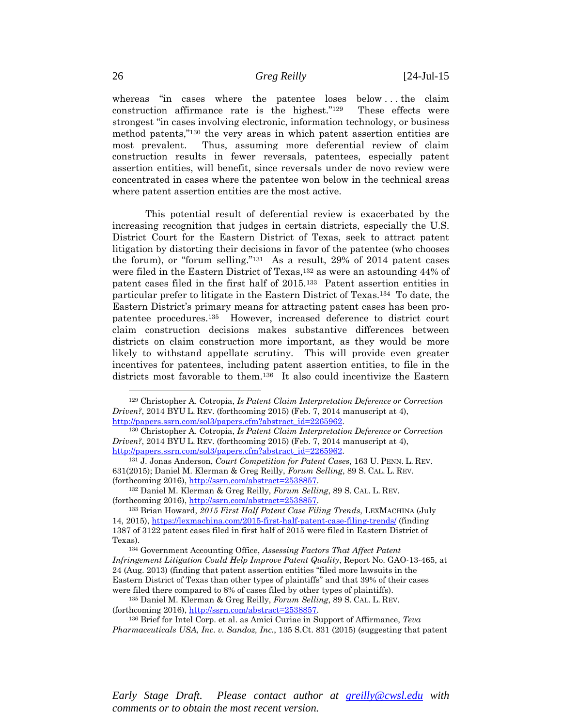whereas "in cases where the patentee loses below . . . the claim construction affirmance rate is the highest."129 These effects were strongest "in cases involving electronic, information technology, or business method patents,"130 the very areas in which patent assertion entities are most prevalent. Thus, assuming more deferential review of claim construction results in fewer reversals, patentees, especially patent assertion entities, will benefit, since reversals under de novo review were concentrated in cases where the patentee won below in the technical areas where patent assertion entities are the most active.

This potential result of deferential review is exacerbated by the increasing recognition that judges in certain districts, especially the U.S. District Court for the Eastern District of Texas, seek to attract patent litigation by distorting their decisions in favor of the patentee (who chooses the forum), or "forum selling."131 As a result, 29% of 2014 patent cases were filed in the Eastern District of Texas,<sup>132</sup> as were an astounding 44% of patent cases filed in the first half of 2015.133 Patent assertion entities in particular prefer to litigate in the Eastern District of Texas.134 To date, the Eastern District's primary means for attracting patent cases has been propatentee procedures.135 However, increased deference to district court claim construction decisions makes substantive differences between districts on claim construction more important, as they would be more likely to withstand appellate scrutiny. This will provide even greater incentives for patentees, including patent assertion entities, to file in the districts most favorable to them.136 It also could incentivize the Eastern

*Early Stage Draft. Please contact author at greilly@cwsl.edu with comments or to obtain the most recent version.* 

<sup>129</sup> Christopher A. Cotropia, *Is Patent Claim Interpretation Deference or Correction Driven?*, 2014 BYU L. REV. (forthcoming 2015) (Feb. 7, 2014 manuscript at 4), http://papers.ssrn.com/sol3/papers.cfm?abstract\_id=2265962. 130 Christopher A. Cotropia, *Is Patent Claim Interpretation Deference or Correction* 

*Driven?*, 2014 BYU L. REV. (forthcoming 2015) (Feb. 7, 2014 manuscript at 4),

http://papers.ssrn.com/sol3/papers.cfm?abstract\_id=2265962. 131 J. Jonas Anderson, *Court Competition for Patent Cases*, 163 U. PENN. L. REV. 631(2015); Daniel M. Klerman & Greg Reilly, *Forum Selling*, 89 S. CAL. L. REV. (forthcoming 2016), http://ssrn.com/abstract=2538857. 132 Daniel M. Klerman & Greg Reilly, *Forum Selling*, 89 S. CAL. L. REV.

<sup>(</sup>forthcoming 2016), http://ssrn.com/abstract=2538857. 133 Brian Howard, *2015 First Half Patent Case Filing Trends*, LEXMACHINA (July

<sup>14, 2015),</sup> https://lexmachina.com/2015-first-half-patent-case-filing-trends/ (finding 1387 of 3122 patent cases filed in first half of 2015 were filed in Eastern District of Texas). 134 Government Accounting Office, *Assessing Factors That Affect Patent* 

*Infringement Litigation Could Help Improve Patent Quality*, Report No. GAO-13-465, at 24 (Aug. 2013) (finding that patent assertion entities "filed more lawsuits in the Eastern District of Texas than other types of plaintiffs" and that 39% of their cases were filed there compared to 8% of cases filed by other types of plaintiffs). 135 Daniel M. Klerman & Greg Reilly, *Forum Selling*, 89 S. CAL. L. REV.

<sup>(</sup>forthcoming 2016), http://ssrn.com/abstract=2538857. 136 Brief for Intel Corp. et al. as Amici Curiae in Support of Affirmance, *Teva* 

*Pharmaceuticals USA, Inc. v. Sandoz, Inc.*, 135 S.Ct. 831 (2015) (suggesting that patent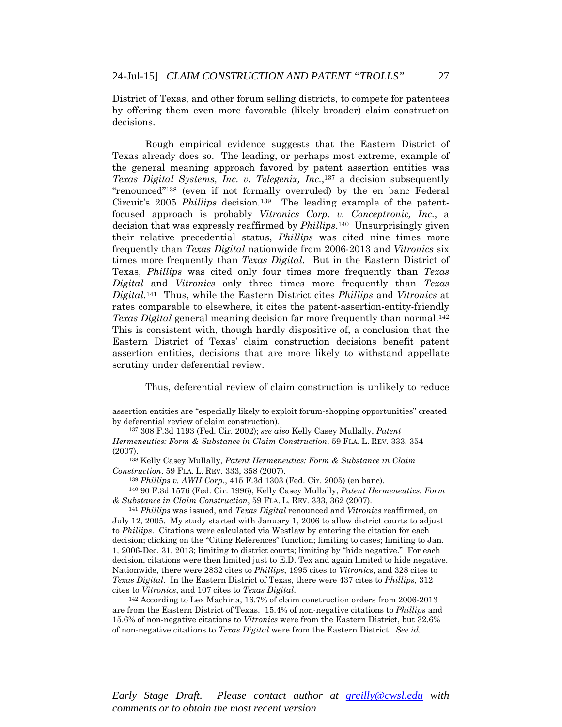District of Texas, and other forum selling districts, to compete for patentees by offering them even more favorable (likely broader) claim construction decisions.

Rough empirical evidence suggests that the Eastern District of Texas already does so. The leading, or perhaps most extreme, example of the general meaning approach favored by patent assertion entities was *Texas Digital Systems, Inc. v. Telegenix, Inc.*,137 a decision subsequently "renounced"138 (even if not formally overruled) by the en banc Federal Circuit's 2005 *Phillips* decision*.*139 The leading example of the patentfocused approach is probably *Vitronics Corp. v. Conceptronic, Inc.*, a decision that was expressly reaffirmed by *Phillips*.140 Unsurprisingly given their relative precedential status, *Phillips* was cited nine times more frequently than *Texas Digital* nationwide from 2006-2013 and *Vitronics* six times more frequently than *Texas Digital*. But in the Eastern District of Texas, *Phillips* was cited only four times more frequently than *Texas Digital* and *Vitronics* only three times more frequently than *Texas Digital*.141 Thus, while the Eastern District cites *Phillips* and *Vitronics* at rates comparable to elsewhere, it cites the patent-assertion-entity-friendly *Texas Digital* general meaning decision far more frequently than normal.142 This is consistent with, though hardly dispositive of, a conclusion that the Eastern District of Texas' claim construction decisions benefit patent assertion entities, decisions that are more likely to withstand appellate scrutiny under deferential review.

Thus, deferential review of claim construction is unlikely to reduce

 $\overline{a}$ 

July 12, 2005. My study started with January 1, 2006 to allow district courts to adjust to *Phillips*. Citations were calculated via Westlaw by entering the citation for each decision; clicking on the "Citing References" function; limiting to cases; limiting to Jan. 1, 2006-Dec. 31, 2013; limiting to district courts; limiting by "hide negative." For each decision, citations were then limited just to E.D. Tex and again limited to hide negative. Nationwide, there were 2832 cites to *Phillips*, 1995 cites to *Vitronics*, and 328 cites to *Texas Digital*. In the Eastern District of Texas, there were 437 cites to *Phillips*, 312 cites to *Vitronics*, and 107 cites to *Texas Digital*. 142 According to Lex Machina, 16.7% of claim construction orders from 2006-2013

are from the Eastern District of Texas. 15.4% of non-negative citations to *Phillips* and 15.6% of non-negative citations to *Vitronics* were from the Eastern District, but 32.6% of non-negative citations to *Texas Digital* were from the Eastern District. *See id.*

assertion entities are "especially likely to exploit forum-shopping opportunities" created by deferential review of claim construction). 137 308 F.3d 1193 (Fed. Cir. 2002); *see also* Kelly Casey Mullally, *Patent* 

*Hermeneutics: Form & Substance in Claim Construction*, 59 FLA. L. REV. 333, 354 (2007). 138 Kelly Casey Mullally, *Patent Hermeneutics: Form & Substance in Claim* 

*Construction*, 59 FLA. L. REV. 333, 358 (2007). 139 *Phillips v. AWH Corp*., 415 F.3d 1303 (Fed. Cir. 2005) (en banc). 140 90 F.3d 1576 (Fed. Cir. 1996); Kelly Casey Mullally, *Patent Hermeneutics: Form* 

*<sup>&</sup>amp; Substance in Claim Construction*, 59 FLA. L. REV. 333, 362 (2007). 141 *Phillips* was issued, and *Texas Digital* renounced and *Vitronics* reaffirmed, on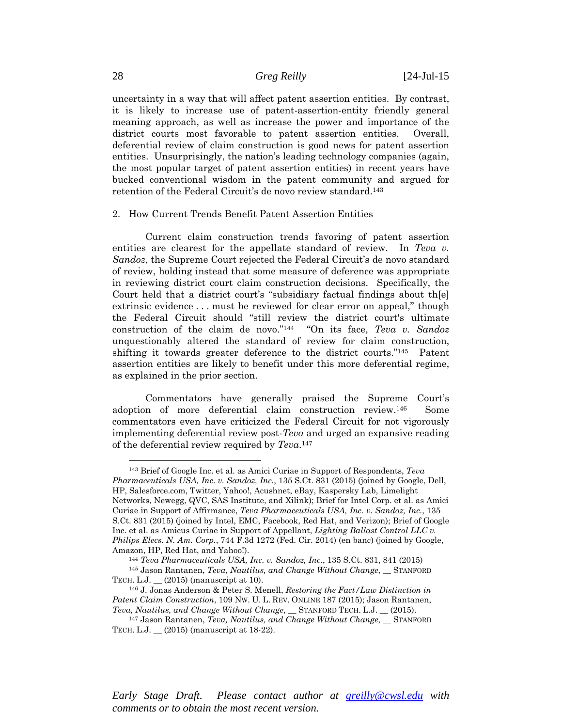uncertainty in a way that will affect patent assertion entities. By contrast, it is likely to increase use of patent-assertion-entity friendly general meaning approach, as well as increase the power and importance of the district courts most favorable to patent assertion entities. Overall, deferential review of claim construction is good news for patent assertion entities. Unsurprisingly, the nation's leading technology companies (again, the most popular target of patent assertion entities) in recent years have bucked conventional wisdom in the patent community and argued for retention of the Federal Circuit's de novo review standard.143

#### 2. How Current Trends Benefit Patent Assertion Entities

Current claim construction trends favoring of patent assertion entities are clearest for the appellate standard of review. In *Teva v. Sandoz*, the Supreme Court rejected the Federal Circuit's de novo standard of review, holding instead that some measure of deference was appropriate in reviewing district court claim construction decisions. Specifically, the Court held that a district court's "subsidiary factual findings about th[e] extrinsic evidence . . . must be reviewed for clear error on appeal," though the Federal Circuit should "still review the district court's ultimate construction of the claim de novo."144 "On its face, *Teva v. Sandoz* unquestionably altered the standard of review for claim construction, shifting it towards greater deference to the district courts."145 Patent assertion entities are likely to benefit under this more deferential regime, as explained in the prior section.

Commentators have generally praised the Supreme Court's adoption of more deferential claim construction review.146 Some commentators even have criticized the Federal Circuit for not vigorously implementing deferential review post-*Teva* and urged an expansive reading of the deferential review required by *Teva*.147

 $\overline{a}$ 

<sup>143</sup> Brief of Google Inc. et al. as Amici Curiae in Support of Respondents, *Teva Pharmaceuticals USA, Inc. v. Sandoz, Inc.*, 135 S.Ct. 831 (2015) (joined by Google, Dell, HP, Salesforce.com, Twitter, Yahoo!, Acushnet, eBay, Kaspersky Lab, Limelight Networks, Newegg, QVC, SAS Institute, and Xilink); Brief for Intel Corp. et al. as Amici Curiae in Support of Affirmance, *Teva Pharmaceuticals USA, Inc. v. Sandoz, Inc.*, 135 S.Ct. 831 (2015) (joined by Intel, EMC, Facebook, Red Hat, and Verizon); Brief of Google Inc. et al. as Amicus Curiae in Support of Appellant, *Lighting Ballast Control LLC v. Philips Elecs. N. Am. Corp.*, 744 F.3d 1272 (Fed. Cir. 2014) (en banc) (joined by Google,

Amazon, HP, Red Hat, and Yahoo!). 144 *Teva Pharmaceuticals USA, Inc. v. Sandoz, Inc.*, 135 S.Ct. 831, 841 (2015) 145 Jason Rantanen, *Teva, Nautilus, and Change Without Change*, \_\_ STANFORD

TECH. L.J.  $\_$  (2015) (manuscript at 10).<br><sup>146</sup> J. Jonas Anderson & Peter S. Menell, *Restoring the Fact/Law Distinction in Patent Claim Construction*, 109 NW. U. L. REV. ONLINE 187 (2015); Jason Rantanen,

*Teva, Nautilus, and Change Without Change*, \_\_ STANFORD TECH. L.J. \_\_ (2015). 147 Jason Rantanen, *Teva, Nautilus, and Change Without Change*, \_\_ STANFORD TECH. L.J. \_\_ (2015) (manuscript at 18-22).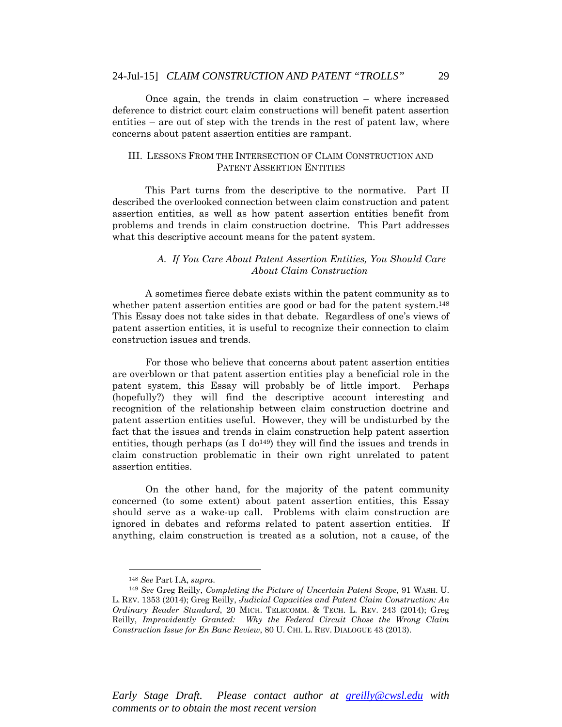Once again, the trends in claim construction – where increased deference to district court claim constructions will benefit patent assertion entities – are out of step with the trends in the rest of patent law, where concerns about patent assertion entities are rampant.

## III. LESSONS FROM THE INTERSECTION OF CLAIM CONSTRUCTION AND PATENT ASSERTION ENTITIES

This Part turns from the descriptive to the normative. Part II described the overlooked connection between claim construction and patent assertion entities, as well as how patent assertion entities benefit from problems and trends in claim construction doctrine. This Part addresses what this descriptive account means for the patent system.

### *A. If You Care About Patent Assertion Entities, You Should Care About Claim Construction*

A sometimes fierce debate exists within the patent community as to whether patent assertion entities are good or bad for the patent system.<sup>148</sup> This Essay does not take sides in that debate. Regardless of one's views of patent assertion entities, it is useful to recognize their connection to claim construction issues and trends.

For those who believe that concerns about patent assertion entities are overblown or that patent assertion entities play a beneficial role in the patent system, this Essay will probably be of little import. Perhaps (hopefully?) they will find the descriptive account interesting and recognition of the relationship between claim construction doctrine and patent assertion entities useful. However, they will be undisturbed by the fact that the issues and trends in claim construction help patent assertion entities, though perhaps (as I do<sup>149</sup>) they will find the issues and trends in claim construction problematic in their own right unrelated to patent assertion entities.

On the other hand, for the majority of the patent community concerned (to some extent) about patent assertion entities, this Essay should serve as a wake-up call. Problems with claim construction are ignored in debates and reforms related to patent assertion entities. If anything, claim construction is treated as a solution, not a cause, of the

 $\overline{a}$ 

<sup>148</sup> *See* Part I.A, *supra*. 149 *See* Greg Reilly, *Completing the Picture of Uncertain Patent Scope*, 91 WASH. U. L. REV. 1353 (2014); Greg Reilly, *Judicial Capacities and Patent Claim Construction: An Ordinary Reader Standard*, 20 MICH. TELECOMM. & TECH. L. REV. 243 (2014); Greg Reilly, *Improvidently Granted: Why the Federal Circuit Chose the Wrong Claim Construction Issue for En Banc Review*, 80 U. CHI. L. REV. DIALOGUE 43 (2013).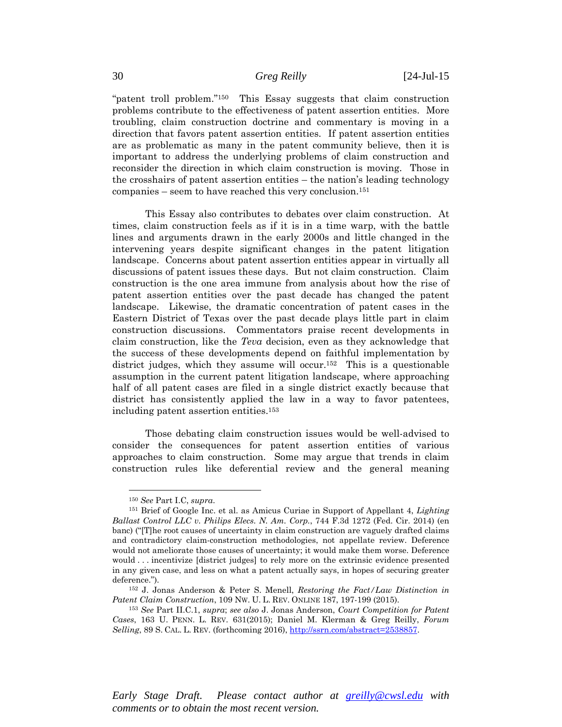"patent troll problem."150 This Essay suggests that claim construction problems contribute to the effectiveness of patent assertion entities. More troubling, claim construction doctrine and commentary is moving in a direction that favors patent assertion entities. If patent assertion entities are as problematic as many in the patent community believe, then it is important to address the underlying problems of claim construction and reconsider the direction in which claim construction is moving. Those in the crosshairs of patent assertion entities – the nation's leading technology companies – seem to have reached this very conclusion.151

This Essay also contributes to debates over claim construction. At times, claim construction feels as if it is in a time warp, with the battle lines and arguments drawn in the early 2000s and little changed in the intervening years despite significant changes in the patent litigation landscape. Concerns about patent assertion entities appear in virtually all discussions of patent issues these days. But not claim construction. Claim construction is the one area immune from analysis about how the rise of patent assertion entities over the past decade has changed the patent landscape. Likewise, the dramatic concentration of patent cases in the Eastern District of Texas over the past decade plays little part in claim construction discussions. Commentators praise recent developments in claim construction, like the *Teva* decision, even as they acknowledge that the success of these developments depend on faithful implementation by district judges, which they assume will occur.<sup>152</sup> This is a questionable assumption in the current patent litigation landscape, where approaching half of all patent cases are filed in a single district exactly because that district has consistently applied the law in a way to favor patentees, including patent assertion entities.153

Those debating claim construction issues would be well-advised to consider the consequences for patent assertion entities of various approaches to claim construction. Some may argue that trends in claim construction rules like deferential review and the general meaning

 $\overline{a}$ 

<sup>150</sup> *See* Part I.C, *supra*. 151 Brief of Google Inc. et al. as Amicus Curiae in Support of Appellant 4, *Lighting Ballast Control LLC v. Philips Elecs. N. Am. Corp.*, 744 F.3d 1272 (Fed. Cir. 2014) (en banc) ("[T]he root causes of uncertainty in claim construction are vaguely drafted claims and contradictory claim-construction methodologies, not appellate review. Deference would not ameliorate those causes of uncertainty; it would make them worse. Deference would . . . incentivize [district judges] to rely more on the extrinsic evidence presented in any given case, and less on what a patent actually says, in hopes of securing greater

deference."). 152 J. Jonas Anderson & Peter S. Menell, *Restoring the Fact/Law Distinction in Patent Claim Construction*, 109 NW. U. L. REV. ONLINE 187, 197-199 (2015). 153 *See* Part II.C.1, *supra*; *see also* J. Jonas Anderson, *Court Competition for Patent* 

*Cases*, 163 U. PENN. L. REV. 631(2015); Daniel M. Klerman & Greg Reilly, *Forum Selling*, 89 S. CAL. L. REV. (forthcoming 2016), http://ssrn.com/abstract=2538857.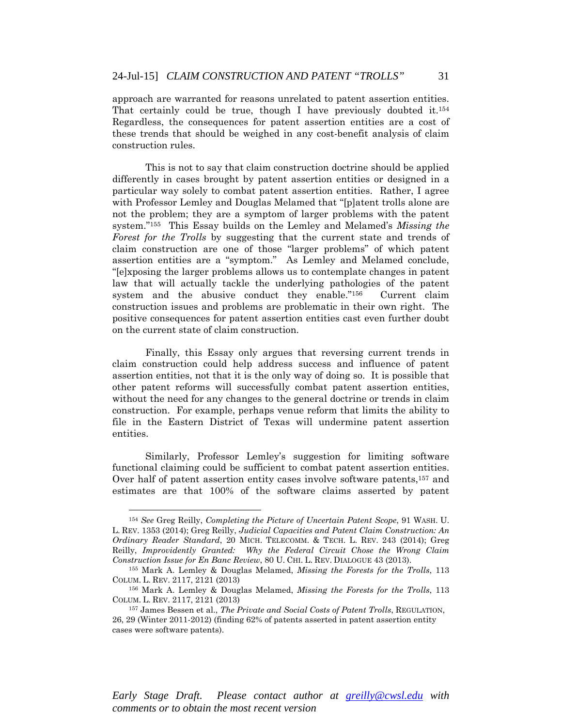approach are warranted for reasons unrelated to patent assertion entities. That certainly could be true, though I have previously doubted it.<sup>154</sup> Regardless, the consequences for patent assertion entities are a cost of these trends that should be weighed in any cost-benefit analysis of claim construction rules.

This is not to say that claim construction doctrine should be applied differently in cases brought by patent assertion entities or designed in a particular way solely to combat patent assertion entities. Rather, I agree with Professor Lemley and Douglas Melamed that "[p]atent trolls alone are not the problem; they are a symptom of larger problems with the patent system."155 This Essay builds on the Lemley and Melamed's *Missing the Forest for the Trolls* by suggesting that the current state and trends of claim construction are one of those "larger problems" of which patent assertion entities are a "symptom." As Lemley and Melamed conclude, "[e]xposing the larger problems allows us to contemplate changes in patent law that will actually tackle the underlying pathologies of the patent system and the abusive conduct they enable."156 Current claim construction issues and problems are problematic in their own right. The positive consequences for patent assertion entities cast even further doubt on the current state of claim construction.

Finally, this Essay only argues that reversing current trends in claim construction could help address success and influence of patent assertion entities, not that it is the only way of doing so. It is possible that other patent reforms will successfully combat patent assertion entities, without the need for any changes to the general doctrine or trends in claim construction. For example, perhaps venue reform that limits the ability to file in the Eastern District of Texas will undermine patent assertion entities.

Similarly, Professor Lemley's suggestion for limiting software functional claiming could be sufficient to combat patent assertion entities. Over half of patent assertion entity cases involve software patents,<sup>157</sup> and estimates are that 100% of the software claims asserted by patent

 $\overline{a}$ 

<sup>154</sup> *See* Greg Reilly, *Completing the Picture of Uncertain Patent Scope*, 91 WASH. U. L. REV. 1353 (2014); Greg Reilly, *Judicial Capacities and Patent Claim Construction: An Ordinary Reader Standard*, 20 MICH. TELECOMM. & TECH. L. REV. 243 (2014); Greg Reilly, *Improvidently Granted: Why the Federal Circuit Chose the Wrong Claim* 

*Construction Issue for En Banc Review*, 80 U. CHI. L. REV. DIALOGUE 43 (2013). 155 Mark A. Lemley & Douglas Melamed, *Missing the Forests for the Trolls*, 113 COLUM. L. REV. 2117, 2121 (2013) 156 Mark A. Lemley & Douglas Melamed, *Missing the Forests for the Trolls*, 113

COLUM. L. REV. 2117, 2121 (2013) 157 James Bessen et al., *The Private and Social Costs of Patent Trolls*, REGULATION,

<sup>26, 29 (</sup>Winter 2011-2012) (finding 62% of patents asserted in patent assertion entity cases were software patents).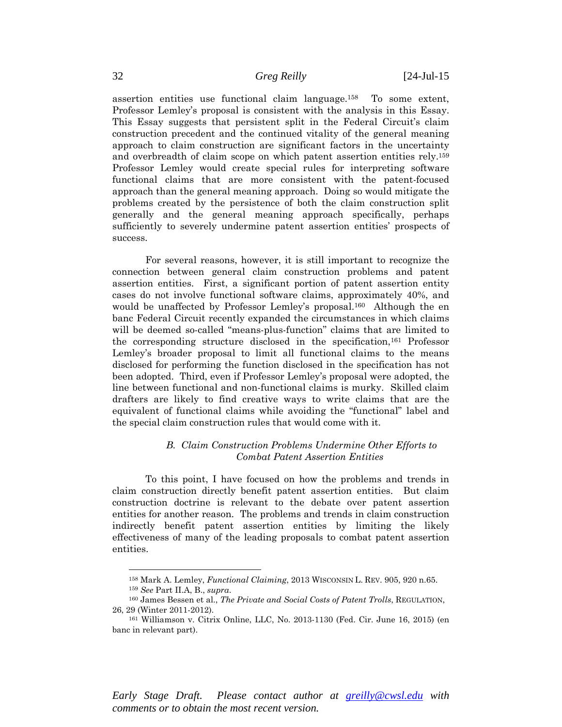assertion entities use functional claim language.158 To some extent, Professor Lemley's proposal is consistent with the analysis in this Essay. This Essay suggests that persistent split in the Federal Circuit's claim construction precedent and the continued vitality of the general meaning approach to claim construction are significant factors in the uncertainty and overbreadth of claim scope on which patent assertion entities rely.159 Professor Lemley would create special rules for interpreting software functional claims that are more consistent with the patent-focused approach than the general meaning approach. Doing so would mitigate the problems created by the persistence of both the claim construction split generally and the general meaning approach specifically, perhaps sufficiently to severely undermine patent assertion entities' prospects of success.

For several reasons, however, it is still important to recognize the connection between general claim construction problems and patent assertion entities. First, a significant portion of patent assertion entity cases do not involve functional software claims, approximately 40%, and would be unaffected by Professor Lemley's proposal.<sup>160</sup> Although the en banc Federal Circuit recently expanded the circumstances in which claims will be deemed so-called "means-plus-function" claims that are limited to the corresponding structure disclosed in the specification,161 Professor Lemley's broader proposal to limit all functional claims to the means disclosed for performing the function disclosed in the specification has not been adopted. Third, even if Professor Lemley's proposal were adopted, the line between functional and non-functional claims is murky. Skilled claim drafters are likely to find creative ways to write claims that are the equivalent of functional claims while avoiding the "functional" label and the special claim construction rules that would come with it.

# *B. Claim Construction Problems Undermine Other Efforts to Combat Patent Assertion Entities*

To this point, I have focused on how the problems and trends in claim construction directly benefit patent assertion entities. But claim construction doctrine is relevant to the debate over patent assertion entities for another reason. The problems and trends in claim construction indirectly benefit patent assertion entities by limiting the likely effectiveness of many of the leading proposals to combat patent assertion entities.

*Early Stage Draft. Please contact author at greilly@cwsl.edu with comments or to obtain the most recent version.* 

<sup>158</sup> Mark A. Lemley, *Functional Claiming*, 2013 WISCONSIN L. REV. 905, 920 n.65. 159 *See* Part II.A, B., *supra*. 160 James Bessen et al., *The Private and Social Costs of Patent Trolls*, REGULATION,

<sup>26, 29 (</sup>Winter 2011-2012). 161 Williamson v. Citrix Online, LLC, No. 2013-1130 (Fed. Cir. June 16, 2015) (en

banc in relevant part).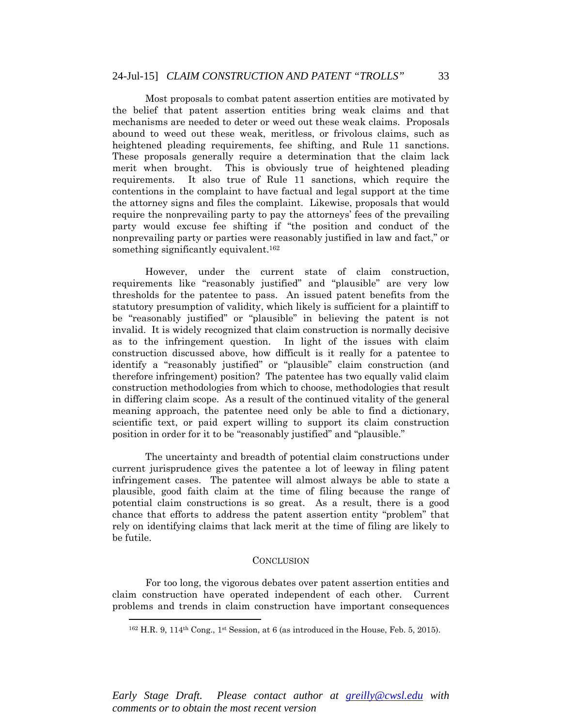Most proposals to combat patent assertion entities are motivated by the belief that patent assertion entities bring weak claims and that mechanisms are needed to deter or weed out these weak claims. Proposals abound to weed out these weak, meritless, or frivolous claims, such as heightened pleading requirements, fee shifting, and Rule 11 sanctions. These proposals generally require a determination that the claim lack merit when brought. This is obviously true of heightened pleading requirements. It also true of Rule 11 sanctions, which require the contentions in the complaint to have factual and legal support at the time the attorney signs and files the complaint. Likewise, proposals that would require the nonprevailing party to pay the attorneys' fees of the prevailing party would excuse fee shifting if "the position and conduct of the nonprevailing party or parties were reasonably justified in law and fact," or something significantly equivalent.<sup>162</sup>

However, under the current state of claim construction, requirements like "reasonably justified" and "plausible" are very low thresholds for the patentee to pass. An issued patent benefits from the statutory presumption of validity, which likely is sufficient for a plaintiff to be "reasonably justified" or "plausible" in believing the patent is not invalid. It is widely recognized that claim construction is normally decisive as to the infringement question. In light of the issues with claim construction discussed above, how difficult is it really for a patentee to identify a "reasonably justified" or "plausible" claim construction (and therefore infringement) position? The patentee has two equally valid claim construction methodologies from which to choose, methodologies that result in differing claim scope. As a result of the continued vitality of the general meaning approach, the patentee need only be able to find a dictionary, scientific text, or paid expert willing to support its claim construction position in order for it to be "reasonably justified" and "plausible."

The uncertainty and breadth of potential claim constructions under current jurisprudence gives the patentee a lot of leeway in filing patent infringement cases. The patentee will almost always be able to state a plausible, good faith claim at the time of filing because the range of potential claim constructions is so great. As a result, there is a good chance that efforts to address the patent assertion entity "problem" that rely on identifying claims that lack merit at the time of filing are likely to be futile.

#### **CONCLUSION**

For too long, the vigorous debates over patent assertion entities and claim construction have operated independent of each other. Current problems and trends in claim construction have important consequences

 $\overline{a}$ 

 $162$  H.R. 9,  $114$ <sup>th</sup> Cong.,  $1$ <sup>st</sup> Session, at 6 (as introduced in the House, Feb. 5, 2015).